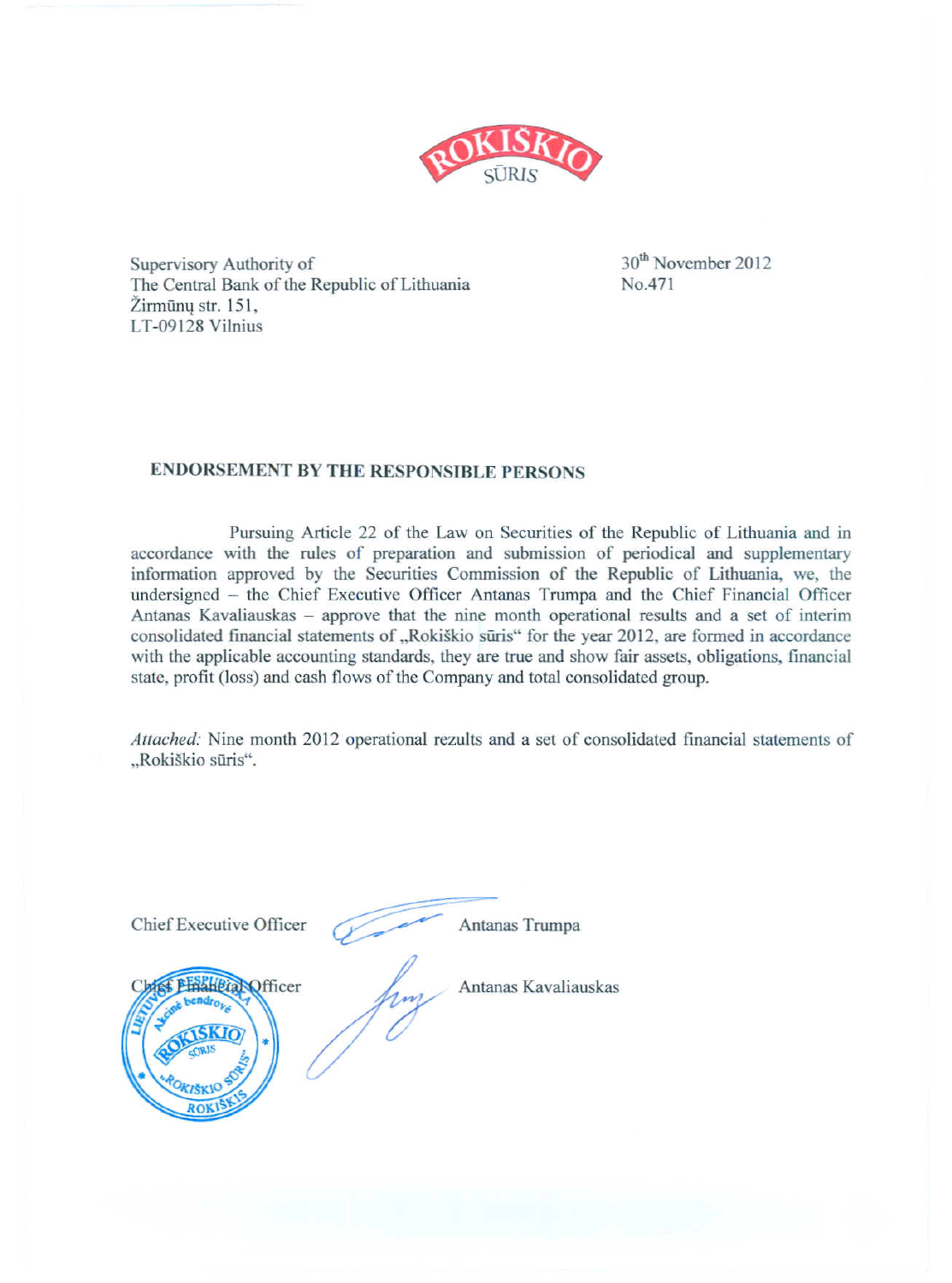

Supervisory Authority of The Central Bank of the Republic of Lithuania Žirmūnu str. 151. LT-09128 Vilnius

30<sup>th</sup> November 2012 No.471

### **ENDORSEMENT BY THE RESPONSIBLE PERSONS**

Pursuing Article 22 of the Law on Securities of the Republic of Lithuania and in accordance with the rules of preparation and submission of periodical and supplementary information approved by the Securities Commission of the Republic of Lithuania, we, the undersigned – the Chief Executive Officer Antanas Trumpa and the Chief Financial Officer Antanas Kavaliauskas - approve that the nine month operational results and a set of interim consolidated financial statements of "Rokiškio sūris" for the year 2012, are formed in accordance with the applicable accounting standards, they are true and show fair assets, obligations, financial state, profit (loss) and cash flows of the Company and total consolidated group.

Attached: Nine month 2012 operational rezults and a set of consolidated financial statements of "Rokiškio sūris".

| Chief Executive Officer | Antanas Trumpa       |
|-------------------------|----------------------|
| fficer                  | Antanas Kavaliauskas |
| CIRIS<br>OKIŠKIO        |                      |
| <b>ROKIS</b>            |                      |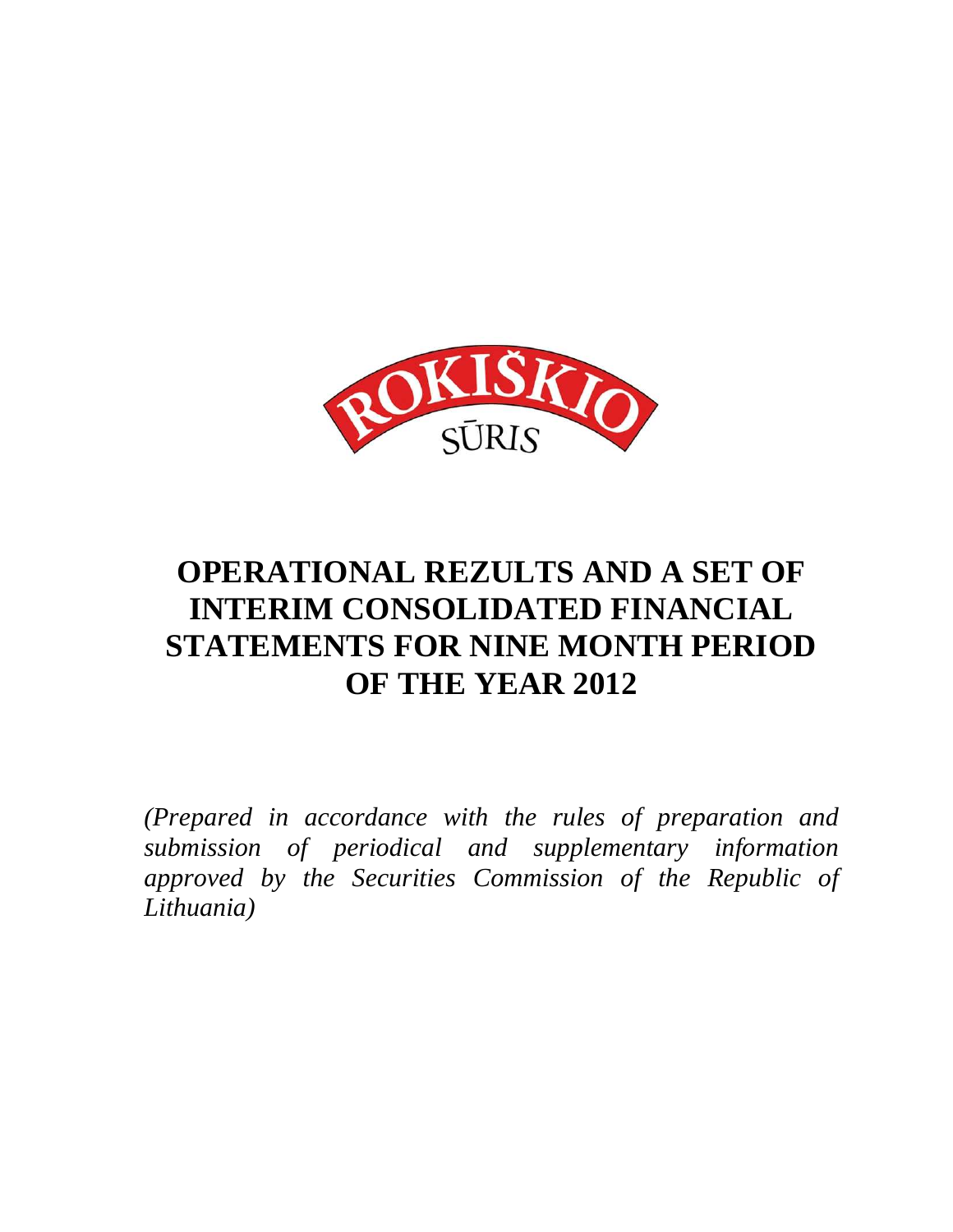

# **OPERATIONAL REZULTS AND A SET OF INTERIM CONSOLIDATED FINANCIAL STATEMENTS FOR NINE MONTH PERIOD OF THE YEAR 2012**

*(Prepared in accordance with the rules of preparation and submission of periodical and supplementary information approved by the Securities Commission of the Republic of Lithuania)*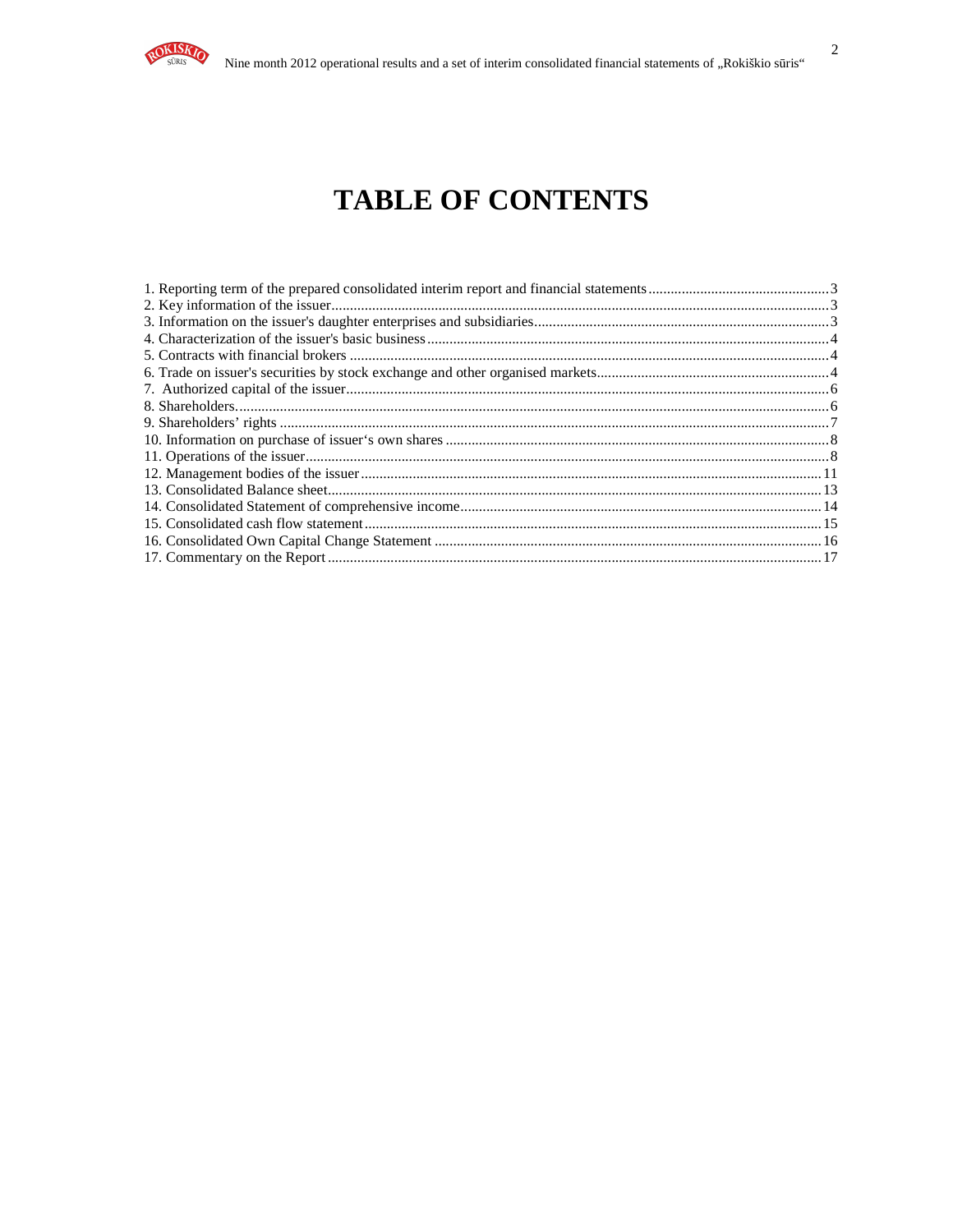

# **TABLE OF CONTENTS**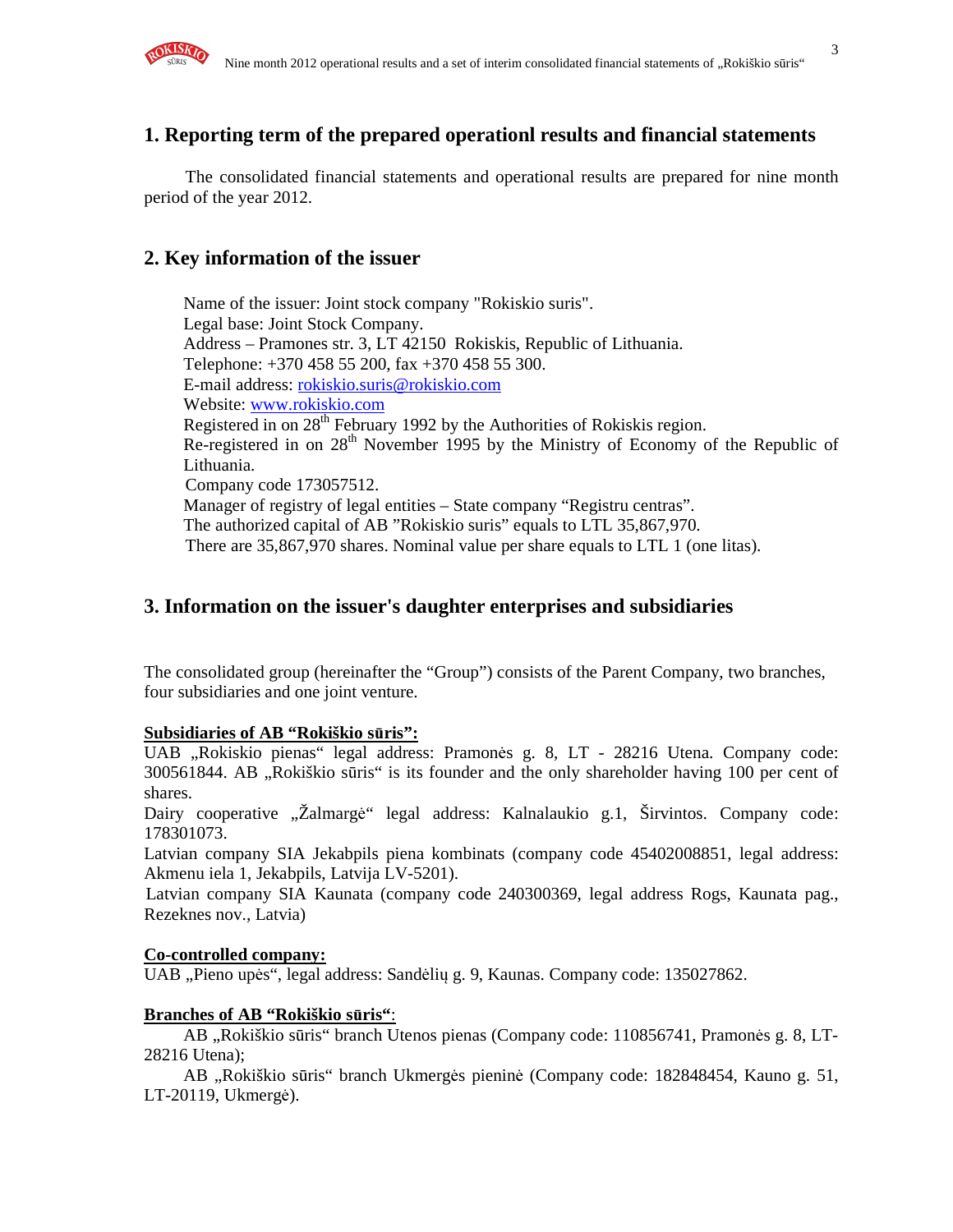

### **1. Reporting term of the prepared operationl results and financial statements**

The consolidated financial statements and operational results are prepared for nine month period of the year 2012.

#### **2. Key information of the issuer**

Name of the issuer: Joint stock company "Rokiskio suris". Legal base: Joint Stock Company. Address – Pramones str. 3, LT 42150 Rokiskis, Republic of Lithuania. Telephone: +370 458 55 200, fax +370 458 55 300. E-mail address: rokiskio.suris@rokiskio.com Website: www.rokiskio.com Registered in on  $28<sup>th</sup>$  February 1992 by the Authorities of Rokiskis region. Re-registered in on 28<sup>th</sup> November 1995 by the Ministry of Economy of the Republic of Lithuania. Company code 173057512. Manager of registry of legal entities – State company "Registru centras". The authorized capital of AB "Rokiskio suris" equals to LTL 35,867,970. There are 35,867,970 shares. Nominal value per share equals to LTL 1 (one litas).

#### **3. Information on the issuer's daughter enterprises and subsidiaries**

The consolidated group (hereinafter the "Group") consists of the Parent Company, two branches, four subsidiaries and one joint venture.

#### **Subsidiaries of AB "Rokiškio s**ū**ris":**

UAB "Rokiskio pienas" legal address: Pramonės g. 8, LT - 28216 Utena. Company code: 300561844. AB "Rokiškio sūris" is its founder and the only shareholder having 100 per cent of shares.

Dairy cooperative "Žalmargė" legal address: Kalnalaukio g.1, Širvintos. Company code: 178301073.

Latvian company SIA Jekabpils piena kombinats (company code 45402008851, legal address: Akmenu iela 1, Jekabpils, Latvija LV-5201).

Latvian company SIA Kaunata (company code 240300369, legal address Rogs, Kaunata pag., Rezeknes nov., Latvia)

#### **Co-controlled company:**

UAB "Pieno upės", legal address: Sandėlių g. 9, Kaunas. Company code: 135027862.

#### **Branches of AB "Rokiškio s**ū**ris"**:

AB "Rokiškio sūris" branch Utenos pienas (Company code: 110856741, Pramonės g. 8, LT-28216 Utena);

AB "Rokiškio sūris" branch Ukmergės pieninė (Company code: 182848454, Kauno g. 51, LT-20119, Ukmergė).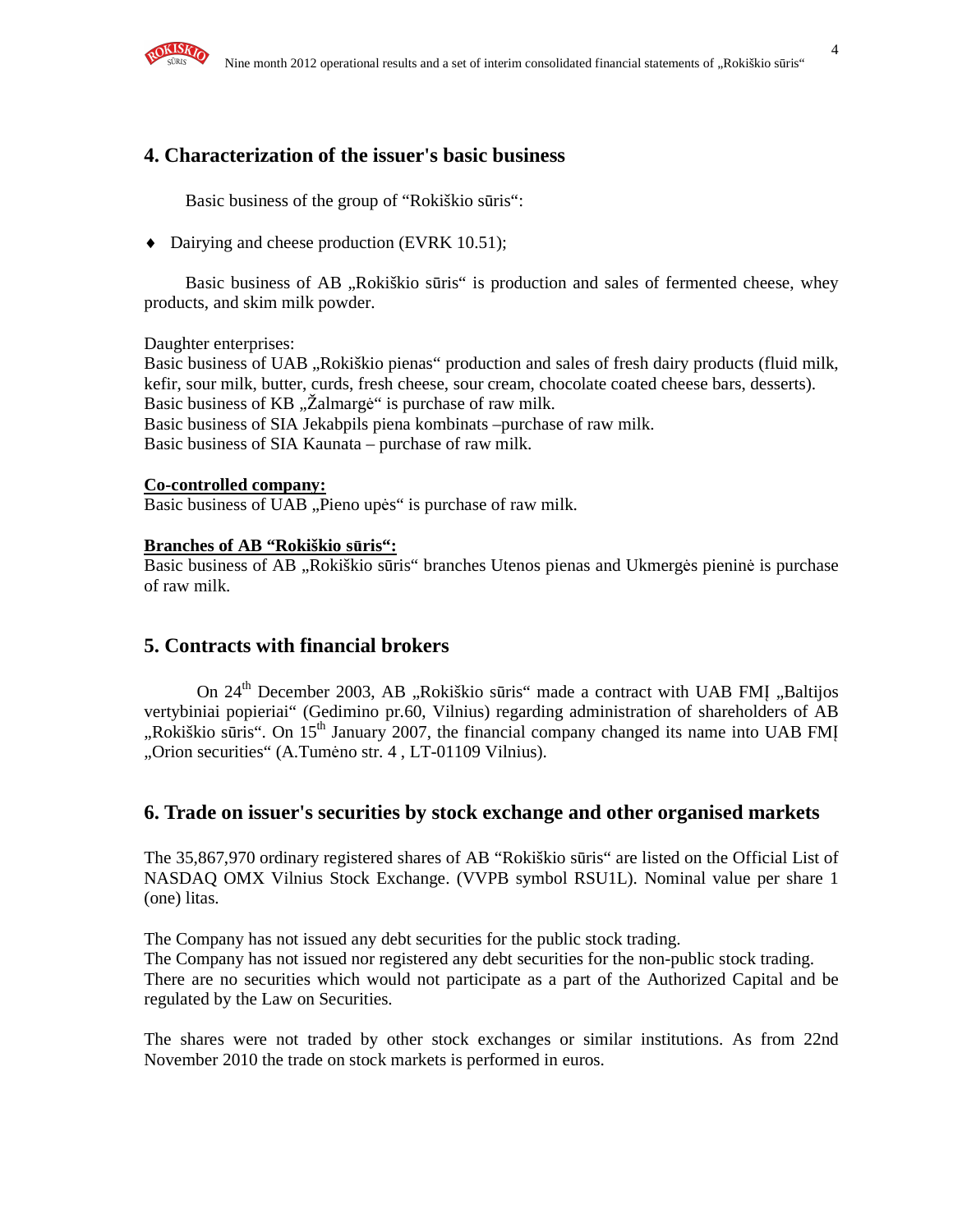

### **4. Characterization of the issuer's basic business**

Basic business of the group of "Rokiškio sūris":

♦ Dairying and cheese production (EVRK 10.51);

Basic business of AB "Rokiškio sūris" is production and sales of fermented cheese, whey products, and skim milk powder.

Daughter enterprises:

Basic business of UAB "Rokiškio pienas" production and sales of fresh dairy products (fluid milk, kefir, sour milk, butter, curds, fresh cheese, sour cream, chocolate coated cheese bars, desserts). Basic business of KB "Žalmargė" is purchase of raw milk. Basic business of SIA Jekabpils piena kombinats –purchase of raw milk. Basic business of SIA Kaunata – purchase of raw milk.

#### **Co-controlled company:**

Basic business of UAB "Pieno upės" is purchase of raw milk.

#### **Branches of AB "Rokiškio s**ū**ris":**

Basic business of AB "Rokiškio sūris" branches Utenos pienas and Ukmergės pieninė is purchase of raw milk.

### **5. Contracts with financial brokers**

On 24<sup>th</sup> December 2003, AB "Rokiškio sūris" made a contract with UAB FMI "Baltijos vertybiniai popieriai" (Gedimino pr.60, Vilnius) regarding administration of shareholders of AB "Rokiškio sūris". On  $15<sup>th</sup>$  January 2007, the financial company changed its name into UAB FMI "Orion securities" (A.Tumėno str. 4, LT-01109 Vilnius).

### **6. Trade on issuer's securities by stock exchange and other organised markets**

The 35,867,970 ordinary registered shares of AB "Rokiškio sūris" are listed on the Official List of NASDAQ OMX Vilnius Stock Exchange. (VVPB symbol RSU1L). Nominal value per share 1 (one) litas.

The Company has not issued any debt securities for the public stock trading. The Company has not issued nor registered any debt securities for the non-public stock trading. There are no securities which would not participate as a part of the Authorized Capital and be regulated by the Law on Securities.

The shares were not traded by other stock exchanges or similar institutions. As from 22nd November 2010 the trade on stock markets is performed in euros.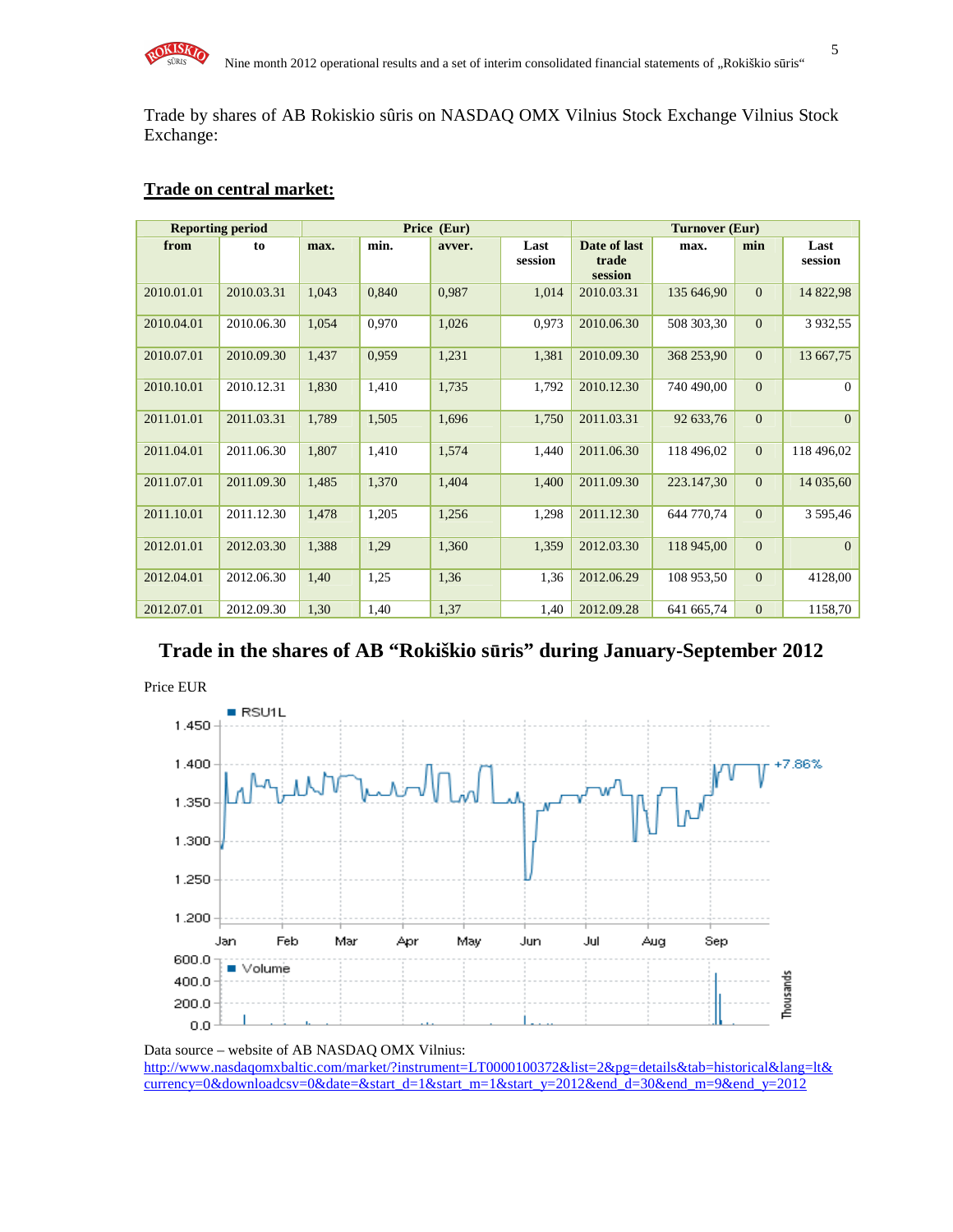

Trade by shares of AB Rokiskio sûris on NASDAQ OMX Vilnius Stock Exchange Vilnius Stock Exchange:

#### **Trade on central market:**

|            | <b>Reporting period</b> |       |       | Price (Eur) |                 | <b>Turnover (Eur)</b>            |            |              |                 |
|------------|-------------------------|-------|-------|-------------|-----------------|----------------------------------|------------|--------------|-----------------|
| from       | to                      | max.  | min.  | avver.      | Last<br>session | Date of last<br>trade<br>session | max.       | min          | Last<br>session |
| 2010.01.01 | 2010.03.31              | 1,043 | 0,840 | 0,987       | 1,014           | 2010.03.31                       | 135 646,90 | $\Omega$     | 14 822,98       |
| 2010.04.01 | 2010.06.30              | 1,054 | 0,970 | 1,026       | 0,973           | 2010.06.30                       | 508 303,30 | $\mathbf{0}$ | 3 9 3 2, 5 5    |
| 2010.07.01 | 2010.09.30              | 1,437 | 0,959 | 1,231       | 1,381           | 2010.09.30                       | 368 253,90 | $\mathbf{0}$ | 13 667,75       |
| 2010.10.01 | 2010.12.31              | 1,830 | 1,410 | 1,735       | 1,792           | 2010.12.30                       | 740 490,00 | $\Omega$     | $\Omega$        |
| 2011.01.01 | 2011.03.31              | 1,789 | 1,505 | 1,696       | 1,750           | 2011.03.31                       | 92 633,76  | $\mathbf{0}$ | $\mathbf{0}$    |
| 2011.04.01 | 2011.06.30              | 1,807 | 1,410 | 1,574       | 1,440           | 2011.06.30                       | 118 496,02 | $\mathbf{0}$ | 118 496,02      |
| 2011.07.01 | 2011.09.30              | 1,485 | 1,370 | 1,404       | 1,400           | 2011.09.30                       | 223.147,30 | $\mathbf{0}$ | 14 035,60       |
| 2011.10.01 | 2011.12.30              | 1,478 | 1,205 | 1,256       | 1,298           | 2011.12.30                       | 644 770,74 | $\Omega$     | 3 595,46        |
| 2012.01.01 | 2012.03.30              | 1,388 | 1,29  | 1,360       | 1,359           | 2012.03.30                       | 118 945,00 | $\mathbf{0}$ | $\Omega$        |
| 2012.04.01 | 2012.06.30              | 1,40  | 1,25  | 1,36        | 1,36            | 2012.06.29                       | 108 953,50 | $\Omega$     | 4128,00         |
| 2012.07.01 | 2012.09.30              | 1,30  | 1,40  | 1,37        | 1,40            | 2012.09.28                       | 641 665,74 | $\Omega$     | 1158,70         |

**Trade in the shares of AB "Rokiškio s**ū**ris" during January-September 2012** 



Data source – website of AB NASDAQ OMX Vilnius: http://www.nasdaqomxbaltic.com/market/?instrument=LT0000100372&list=2&pg=details&tab=historical&lang=lt& currency=0&downloadcsv=0&date=&start\_d=1&start\_m=1&start\_y=2012&end\_d=30&end\_m=9&end\_y=2012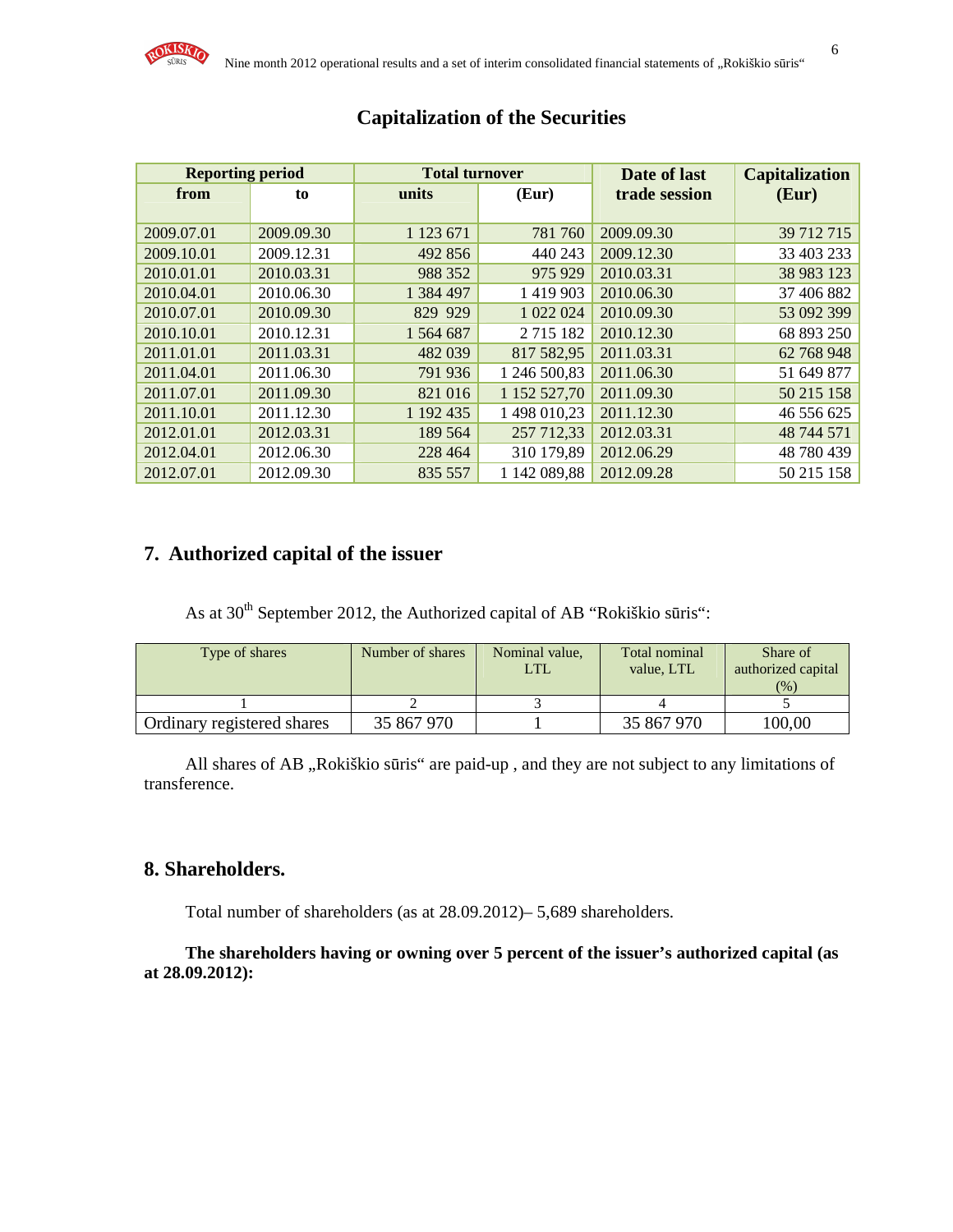| <b>Reporting period</b> |            | <b>Total turnover</b> |               | Date of last  | <b>Capitalization</b> |
|-------------------------|------------|-----------------------|---------------|---------------|-----------------------|
| from                    | to         | units                 | (Eur)         | trade session | (Eur)                 |
|                         |            |                       |               |               |                       |
| 2009.07.01              | 2009.09.30 | 1 1 2 3 6 7 1         | 781 760       | 2009.09.30    | 39 712 715            |
| 2009.10.01              | 2009.12.31 | 492 856               | 440 243       | 2009.12.30    | 33 403 233            |
| 2010.01.01              | 2010.03.31 | 988 352               | 975 929       | 2010.03.31    | 38 983 123            |
| 2010.04.01              | 2010.06.30 | 1 384 497             | 1 4 1 9 9 0 3 | 2010.06.30    | 37 406 882            |
| 2010.07.01              | 2010.09.30 | 829 929               | 1 022 024     | 2010.09.30    | 53 092 399            |
| 2010.10.01              | 2010.12.31 | 1 564 687             | 2 7 1 5 1 8 2 | 2010.12.30    | 68 893 250            |
| 2011.01.01              | 2011.03.31 | 482 039               | 817 582,95    | 2011.03.31    | 62 768 948            |
| 2011.04.01              | 2011.06.30 | 791 936               | 1 246 500,83  | 2011.06.30    | 51 649 877            |
| 2011.07.01              | 2011.09.30 | 821 016               | 1 152 527,70  | 2011.09.30    | 50 215 158            |
| 2011.10.01              | 2011.12.30 | 1 192 435             | 1 498 010,23  | 2011.12.30    | 46 556 625            |
| 2012.01.01              | 2012.03.31 | 189 564               | 257 712,33    | 2012.03.31    | 48 744 571            |
| 2012.04.01              | 2012.06.30 | 228 464               | 310 179,89    | 2012.06.29    | 48 780 439            |
| 2012.07.01              | 2012.09.30 | 835 557               | 1 142 089,88  | 2012.09.28    | 50 215 158            |

# **Capitalization of the Securities**

### **7. Authorized capital of the issuer**

As at 30<sup>th</sup> September 2012, the Authorized capital of AB "Rokiškio sūris":

| Type of shares             | Number of shares | Nominal value,<br>LTL | Total nominal<br>value, LTL | Share of<br>authorized capital<br>(% ) |
|----------------------------|------------------|-----------------------|-----------------------------|----------------------------------------|
|                            |                  |                       |                             |                                        |
| Ordinary registered shares | 35 867 970       |                       | 35 867 970                  | 100,00                                 |

All shares of AB "Rokiškio sūris" are paid-up, and they are not subject to any limitations of transference.

### **8. Shareholders.**

Total number of shareholders (as at 28.09.2012)– 5,689 shareholders.

**The shareholders having or owning over 5 percent of the issuer's authorized capital (as at 28.09.2012):**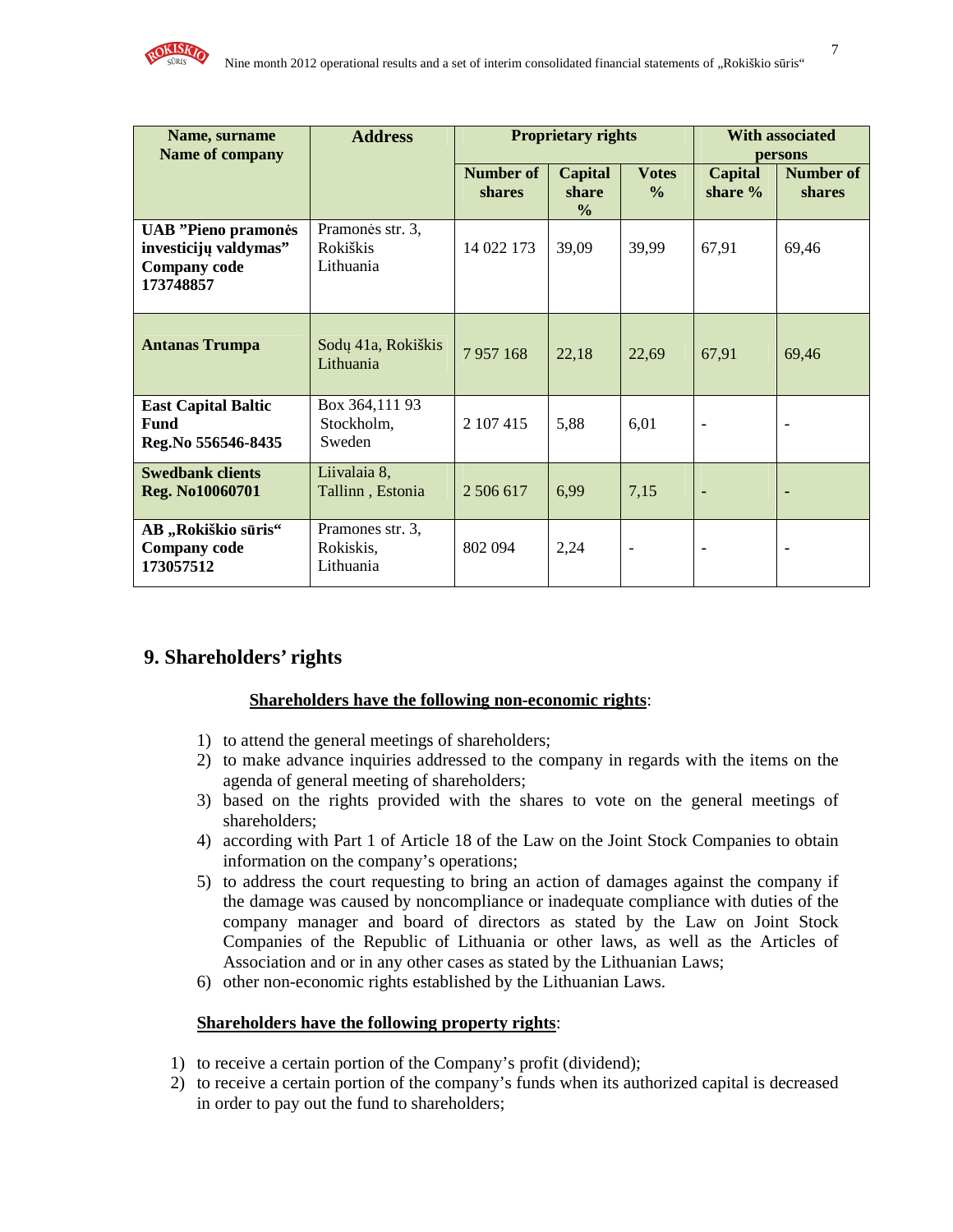

| Name, surname<br><b>Name of company</b>                                                 | <b>Address</b>                             |                     | <b>Proprietary rights</b>         |                                    | <b>With associated</b><br>persons |                            |  |
|-----------------------------------------------------------------------------------------|--------------------------------------------|---------------------|-----------------------------------|------------------------------------|-----------------------------------|----------------------------|--|
|                                                                                         |                                            | Number of<br>shares | Capital<br>share<br>$\frac{6}{6}$ | <b>Votes</b><br>$\frac{0}{\alpha}$ | <b>Capital</b><br>share %         | <b>Number of</b><br>shares |  |
| <b>UAB</b> "Pieno pramonės<br>investicijų valdymas"<br><b>Company</b> code<br>173748857 | Pramonės str. 3,<br>Rokiškis<br>Lithuania  | 14 022 173          | 39,09                             | 39,99                              | 67,91                             | 69,46                      |  |
| <b>Antanas Trumpa</b>                                                                   | Sodų 41a, Rokiškis<br>Lithuania            | 7957168             | 22,18                             | 22,69                              | 67,91                             | 69,46                      |  |
| <b>East Capital Baltic</b><br><b>Fund</b><br>Reg.No 556546-8435                         | Box 364,111 93<br>Stockholm,<br>Sweden     | 2 107 415           | 5,88                              | 6,01                               |                                   | $\blacksquare$             |  |
| <b>Swedbank clients</b><br>Reg. No10060701                                              | Liivalaia 8,<br>Tallinn, Estonia           | 2 506 617           | 6,99                              | 7,15                               | $\blacksquare$                    | ٠                          |  |
| AB "Rokiškio sūris"<br><b>Company code</b><br>173057512                                 | Pramones str. 3,<br>Rokiskis,<br>Lithuania | 802 094             | 2,24                              | $\overline{\phantom{a}}$           |                                   | $\blacksquare$             |  |

### **9. Shareholders' rights**

#### **Shareholders have the following non-economic rights**:

- 1) to attend the general meetings of shareholders;
- 2) to make advance inquiries addressed to the company in regards with the items on the agenda of general meeting of shareholders;
- 3) based on the rights provided with the shares to vote on the general meetings of shareholders;
- 4) according with Part 1 of Article 18 of the Law on the Joint Stock Companies to obtain information on the company's operations;
- 5) to address the court requesting to bring an action of damages against the company if the damage was caused by noncompliance or inadequate compliance with duties of the company manager and board of directors as stated by the Law on Joint Stock Companies of the Republic of Lithuania or other laws, as well as the Articles of Association and or in any other cases as stated by the Lithuanian Laws;
- 6) other non-economic rights established by the Lithuanian Laws.

#### **Shareholders have the following property rights**:

- 1) to receive a certain portion of the Company's profit (dividend);
- 2) to receive a certain portion of the company's funds when its authorized capital is decreased in order to pay out the fund to shareholders;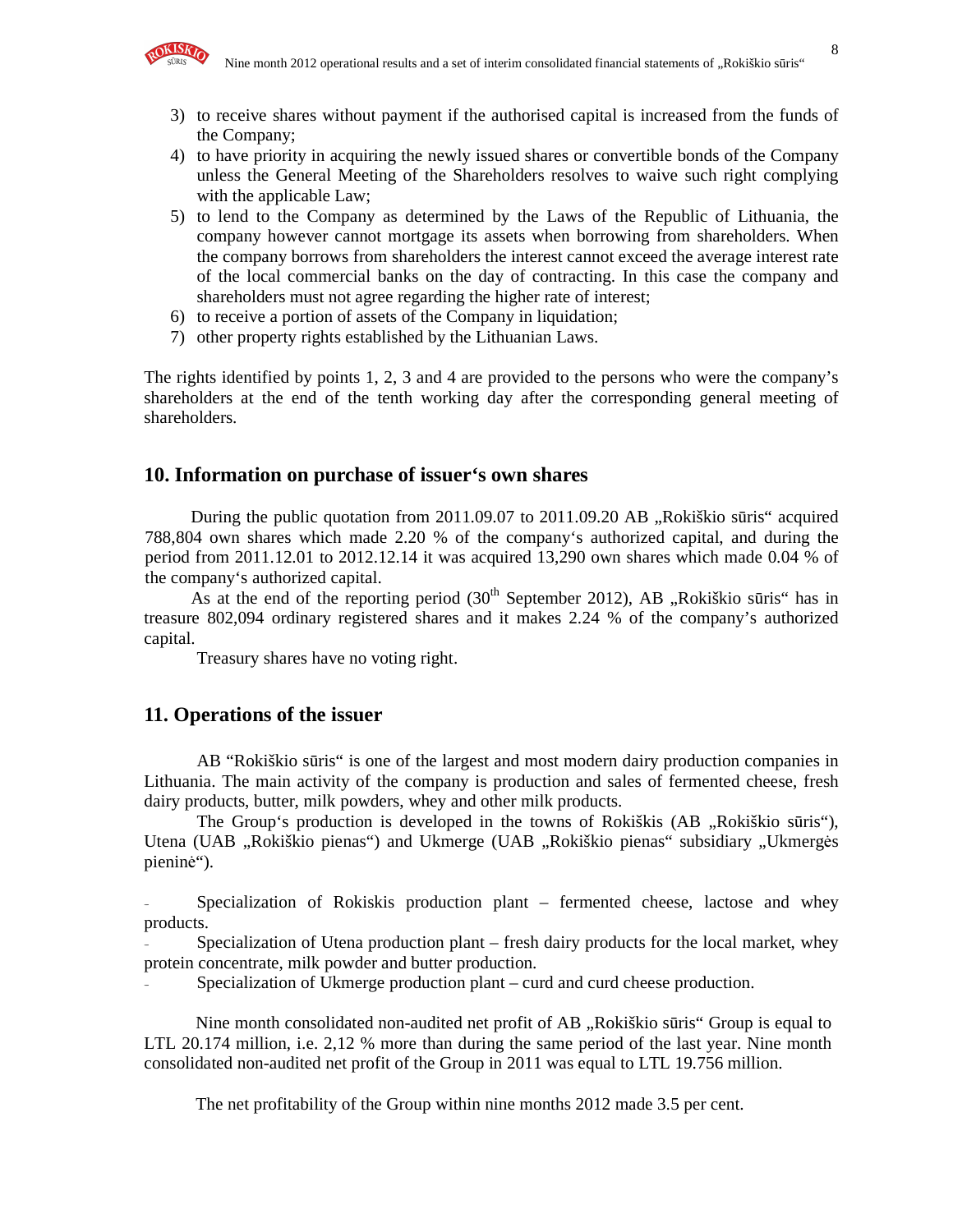

- 3) to receive shares without payment if the authorised capital is increased from the funds of the Company;
- 4) to have priority in acquiring the newly issued shares or convertible bonds of the Company unless the General Meeting of the Shareholders resolves to waive such right complying with the applicable Law;
- 5) to lend to the Company as determined by the Laws of the Republic of Lithuania, the company however cannot mortgage its assets when borrowing from shareholders. When the company borrows from shareholders the interest cannot exceed the average interest rate of the local commercial banks on the day of contracting. In this case the company and shareholders must not agree regarding the higher rate of interest;
- 6) to receive a portion of assets of the Company in liquidation;
- 7) other property rights established by the Lithuanian Laws.

The rights identified by points 1, 2, 3 and 4 are provided to the persons who were the company's shareholders at the end of the tenth working day after the corresponding general meeting of shareholders.

#### **10. Information on purchase of issuer's own shares**

During the public quotation from  $2011.09.07$  to  $2011.09.20$  AB  $\alpha$ Rokiškio sūris" acquired 788,804 own shares which made 2.20 % of the company's authorized capital, and during the period from 2011.12.01 to 2012.12.14 it was acquired 13,290 own shares which made 0.04 % of the company's authorized capital.

As at the end of the reporting period  $(30<sup>th</sup>$  September 2012), AB "Rokiškio sūris" has in treasure 802,094 ordinary registered shares and it makes 2.24 % of the company's authorized capital.

Treasury shares have no voting right.

#### **11. Operations of the issuer**

AB "Rokiškio sūris" is one of the largest and most modern dairy production companies in Lithuania. The main activity of the company is production and sales of fermented cheese, fresh dairy products, butter, milk powders, whey and other milk products.

The Group's production is developed in the towns of Rokiškis (AB "Rokiškio sūris"), Utena (UAB "Rokiškio pienas") and Ukmerge (UAB "Rokiškio pienas" subsidiary "Ukmergės pieninė").

Specialization of Rokiskis production plant – fermented cheese, lactose and whey products.

Specialization of Utena production plant – fresh dairy products for the local market, whey protein concentrate, milk powder and butter production.

Specialization of Ukmerge production plant – curd and curd cheese production.

Nine month consolidated non-audited net profit of AB "Rokiškio sūris" Group is equal to LTL 20.174 million, i.e. 2,12 % more than during the same period of the last year. Nine month consolidated non-audited net profit of the Group in 2011 was equal to LTL 19.756 million.

The net profitability of the Group within nine months 2012 made 3.5 per cent.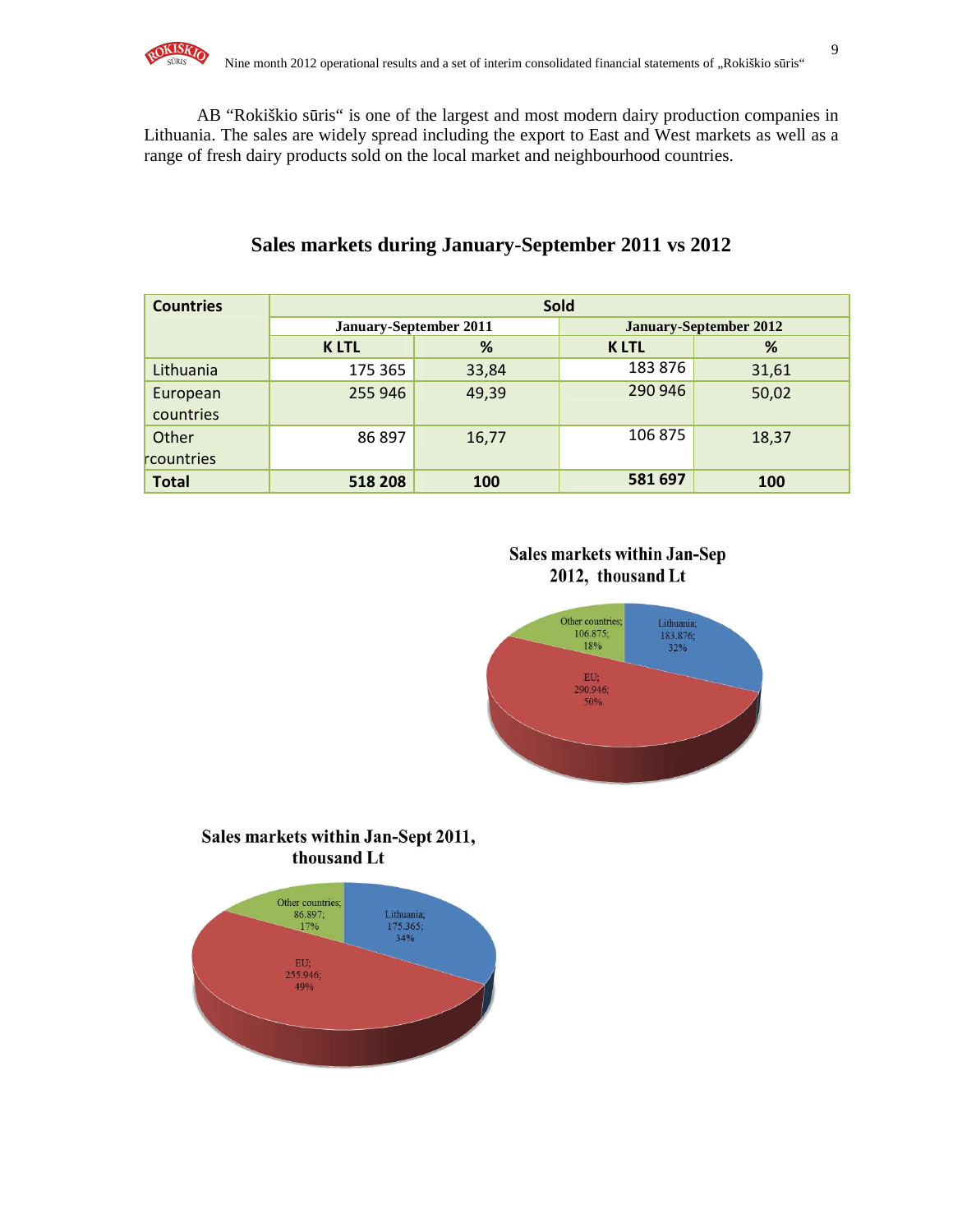

AB "Rokiškio sūris" is one of the largest and most modern dairy production companies in Lithuania. The sales are widely spread including the export to East and West markets as well as a range of fresh dairy products sold on the local market and neighbourhood countries.

| <b>Countries</b>      | <b>Sold</b>                   |       |             |                               |  |
|-----------------------|-------------------------------|-------|-------------|-------------------------------|--|
|                       | <b>January-September 2011</b> |       |             | <b>January-September 2012</b> |  |
|                       | <b>KLTL</b>                   | %     | <b>KLTL</b> | %                             |  |
| Lithuania             | 175 365                       | 33,84 | 183876      | 31,61                         |  |
| European<br>countries | 255 946                       | 49,39 | 290 946     | 50,02                         |  |
| Other                 | 86 897                        | 16,77 | 106 875     | 18,37                         |  |
| rcountries            |                               |       |             |                               |  |
| <b>Total</b>          | 518 208                       | 100   | 581 697     | 100                           |  |

### **Sales markets during January-September 2011 vs 2012**

### Sales markets within Jan-Sep 2012, thousand Lt



### Sales markets within Jan-Sept 2011, thousand Lt

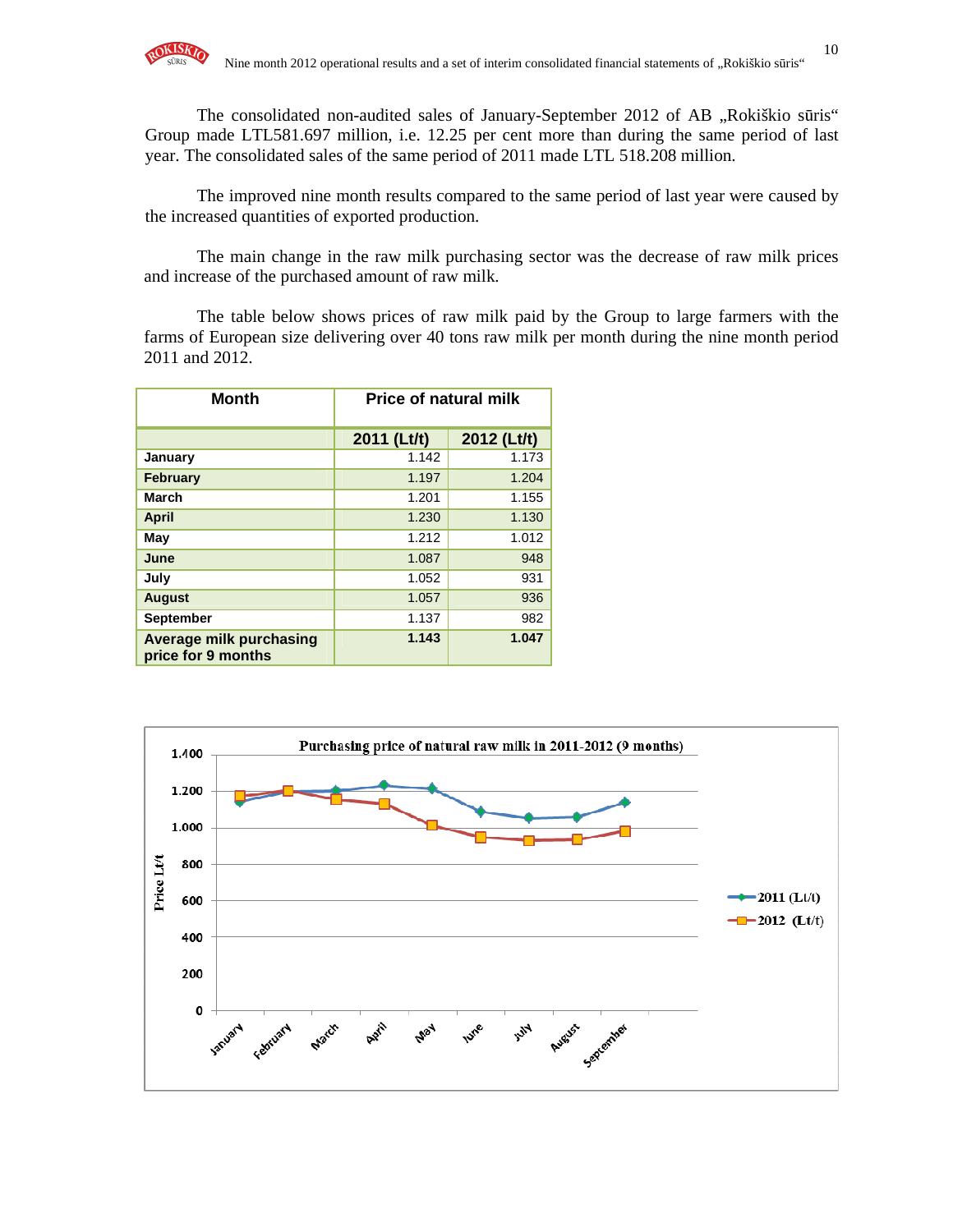The consolidated non-audited sales of January-September 2012 of AB "Rokiškio sūris" Group made LTL581.697 million, i.e. 12.25 per cent more than during the same period of last year. The consolidated sales of the same period of 2011 made LTL 518.208 million.

The improved nine month results compared to the same period of last year were caused by the increased quantities of exported production.

The main change in the raw milk purchasing sector was the decrease of raw milk prices and increase of the purchased amount of raw milk.

The table below shows prices of raw milk paid by the Group to large farmers with the farms of European size delivering over 40 tons raw milk per month during the nine month period 2011 and 2012.

| <b>Month</b>                                         | <b>Price of natural milk</b> |             |  |  |  |
|------------------------------------------------------|------------------------------|-------------|--|--|--|
|                                                      | 2011 (Lt/t)                  | 2012 (Lt/t) |  |  |  |
| January                                              | 1.142                        | 1.173       |  |  |  |
| <b>February</b>                                      | 1.197                        | 1.204       |  |  |  |
| March                                                | 1.201                        | 1.155       |  |  |  |
| <b>April</b>                                         | 1.230                        | 1.130       |  |  |  |
| May                                                  | 1.212                        | 1.012       |  |  |  |
| June                                                 | 1.087                        | 948         |  |  |  |
| July                                                 | 1.052                        | 931         |  |  |  |
| <b>August</b>                                        | 1.057                        | 936         |  |  |  |
| <b>September</b>                                     | 1.137                        | 982         |  |  |  |
| <b>Average milk purchasing</b><br>price for 9 months | 1.143                        | 1.047       |  |  |  |

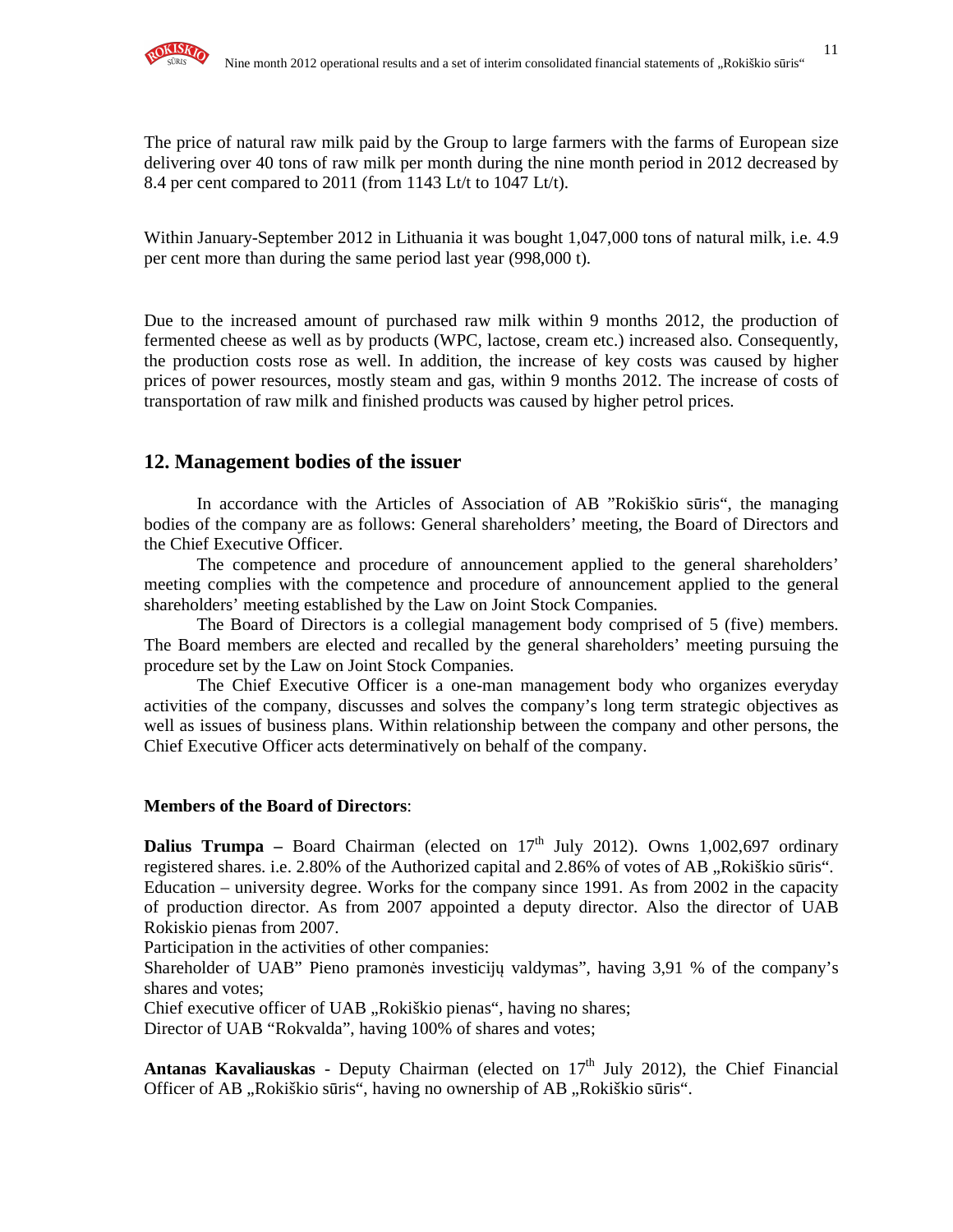

Within January-September 2012 in Lithuania it was bought 1,047,000 tons of natural milk, i.e. 4.9 per cent more than during the same period last year (998,000 t).

Due to the increased amount of purchased raw milk within 9 months 2012, the production of fermented cheese as well as by products (WPC, lactose, cream etc.) increased also. Consequently, the production costs rose as well. In addition, the increase of key costs was caused by higher prices of power resources, mostly steam and gas, within 9 months 2012. The increase of costs of transportation of raw milk and finished products was caused by higher petrol prices.

### **12. Management bodies of the issuer**

In accordance with the Articles of Association of AB "Rokiškio sūris", the managing bodies of the company are as follows: General shareholders' meeting, the Board of Directors and the Chief Executive Officer.

The competence and procedure of announcement applied to the general shareholders' meeting complies with the competence and procedure of announcement applied to the general shareholders' meeting established by the Law on Joint Stock Companies.

The Board of Directors is a collegial management body comprised of 5 (five) members. The Board members are elected and recalled by the general shareholders' meeting pursuing the procedure set by the Law on Joint Stock Companies.

The Chief Executive Officer is a one-man management body who organizes everyday activities of the company, discusses and solves the company's long term strategic objectives as well as issues of business plans. Within relationship between the company and other persons, the Chief Executive Officer acts determinatively on behalf of the company.

#### **Members of the Board of Directors**:

**Dalius Trumpa** – Board Chairman (elected on  $17<sup>th</sup>$  July 2012). Owns 1,002,697 ordinary registered shares. i.e. 2.80% of the Authorized capital and 2.86% of votes of AB "Rokiškio sūris". Education – university degree. Works for the company since 1991. As from 2002 in the capacity of production director. As from 2007 appointed a deputy director. Also the director of UAB Rokiskio pienas from 2007.

Participation in the activities of other companies:

Shareholder of UAB" Pieno pramonės investicijų valdymas", having 3,91 % of the company's shares and votes;

Chief executive officer of UAB "Rokiškio pienas", having no shares;

Director of UAB "Rokvalda", having 100% of shares and votes;

Antanas Kavaliauskas - Deputy Chairman (elected on 17<sup>th</sup> July 2012), the Chief Financial Officer of AB "Rokiškio sūris", having no ownership of AB "Rokiškio sūris".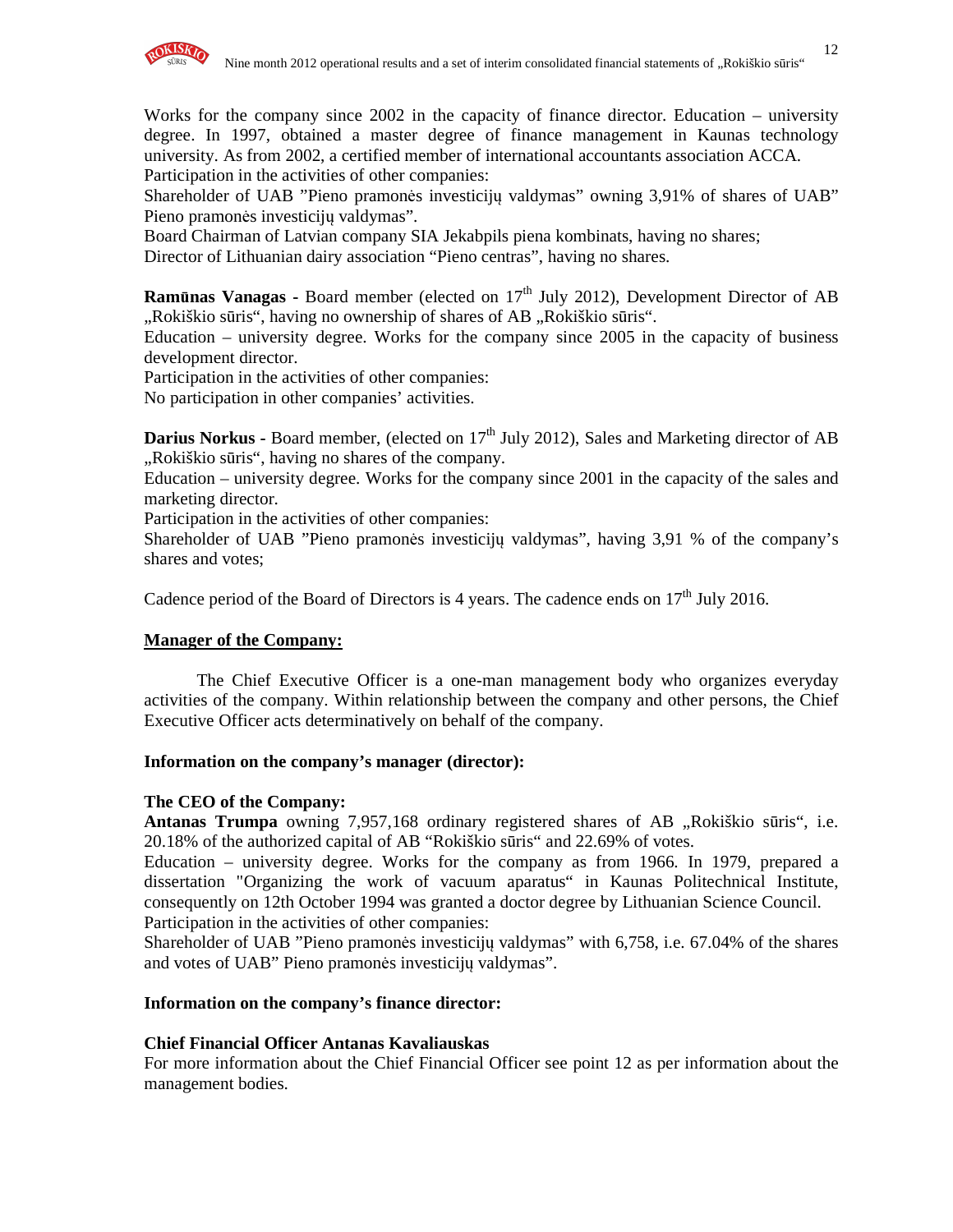

Works for the company since 2002 in the capacity of finance director. Education – university degree. In 1997, obtained a master degree of finance management in Kaunas technology university. As from 2002, a certified member of international accountants association ACCA. Participation in the activities of other companies:

Shareholder of UAB "Pieno pramonės investicijų valdymas" owning 3,91% of shares of UAB" Pieno pramonės investicijų valdymas".

Board Chairman of Latvian company SIA Jekabpils piena kombinats, having no shares;

Director of Lithuanian dairy association "Pieno centras", having no shares.

**Ramūnas Vanagas -** Board member (elected on 17<sup>th</sup> July 2012), Development Director of AB ",Rokiškio sūris", having no ownership of shares of AB "Rokiškio sūris".

Education – university degree. Works for the company since 2005 in the capacity of business development director.

Participation in the activities of other companies:

No participation in other companies' activities.

**Darius Norkus - Board member, (elected on 17<sup>th</sup> July 2012), Sales and Marketing director of AB** "Rokiškio sūris", having no shares of the company.

Education – university degree. Works for the company since 2001 in the capacity of the sales and marketing director.

Participation in the activities of other companies:

Shareholder of UAB "Pieno pramonės investicijų valdymas", having 3,91 % of the company's shares and votes;

Cadence period of the Board of Directors is 4 years. The cadence ends on  $17<sup>th</sup>$  July 2016.

#### **Manager of the Company:**

The Chief Executive Officer is a one-man management body who organizes everyday activities of the company. Within relationship between the company and other persons, the Chief Executive Officer acts determinatively on behalf of the company.

#### **Information on the company's manager (director):**

#### **The CEO of the Company:**

Antanas Trumpa owning 7,957,168 ordinary registered shares of AB "Rokiškio sūris", i.e. 20.18% of the authorized capital of AB "Rokiškio sūris" and 22.69% of votes.

Education – university degree. Works for the company as from 1966. In 1979, prepared a dissertation "Organizing the work of vacuum aparatus" in Kaunas Politechnical Institute, consequently on 12th October 1994 was granted a doctor degree by Lithuanian Science Council. Participation in the activities of other companies:

Shareholder of UAB "Pieno pramonės investicijų valdymas" with 6,758, i.e. 67.04% of the shares and votes of UAB" Pieno pramonės investicijų valdymas".

#### **Information on the company's finance director:**

#### **Chief Financial Officer Antanas Kavaliauskas**

For more information about the Chief Financial Officer see point 12 as per information about the management bodies.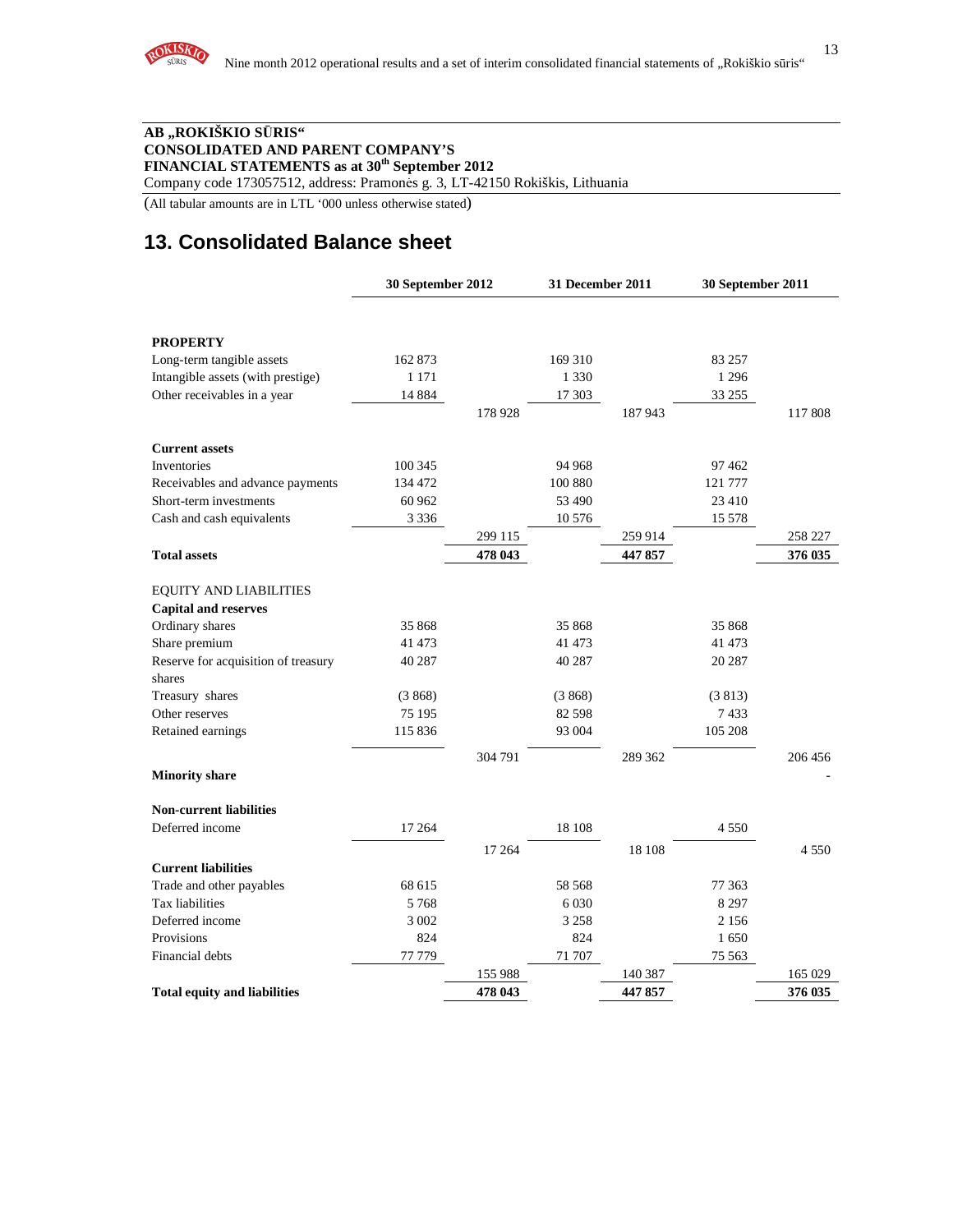

#### **AB "ROKIŠKIO S**Ū**RIS" CONSOLIDATED AND PARENT COMPANY'S FINANCIAL STATEMENTS as at 30th September 2012**

Company code 173057512, address: Pramonės g. 3, LT-42150 Rokiškis, Lithuania

(All tabular amounts are in LTL '000 unless otherwise stated)

# **13. Consolidated Balance sheet**

|                                     | 30 September 2012 |         | 31 December 2011 |         | 30 September 2011 |         |
|-------------------------------------|-------------------|---------|------------------|---------|-------------------|---------|
|                                     |                   |         |                  |         |                   |         |
| <b>PROPERTY</b>                     |                   |         |                  |         |                   |         |
| Long-term tangible assets           | 162 873           |         | 169 310          |         | 83 257            |         |
| Intangible assets (with prestige)   | 1 1 7 1           |         | 1 3 3 0          |         | 1 2 9 6           |         |
| Other receivables in a year         | 14 8 8 4          |         | 17 303           |         | 33 255            |         |
|                                     |                   | 178 928 |                  | 187943  |                   | 117 808 |
| <b>Current assets</b>               |                   |         |                  |         |                   |         |
| Inventories                         | 100 345           |         | 94 968           |         | 97462             |         |
| Receivables and advance payments    | 134 472           |         | 100 880          |         | 121 777           |         |
| Short-term investments              | 60 962            |         | 53 490           |         | 23 410            |         |
| Cash and cash equivalents           | 3 3 3 6           |         | 10 576           |         | 15 578            |         |
|                                     |                   | 299 115 |                  | 259 914 |                   | 258 227 |
| <b>Total assets</b>                 |                   | 478 043 |                  | 447857  |                   | 376 035 |
|                                     |                   |         |                  |         |                   |         |
| <b>EQUITY AND LIABILITIES</b>       |                   |         |                  |         |                   |         |
| <b>Capital and reserves</b>         |                   |         |                  |         |                   |         |
| Ordinary shares                     | 35 868            |         | 35 868           |         | 35 868            |         |
| Share premium                       | 41 473            |         | 41 473           |         | 41 473            |         |
| Reserve for acquisition of treasury | 40 287            |         | 40 287           |         | 20 287            |         |
| shares                              |                   |         |                  |         |                   |         |
| Treasury shares                     | (3868)            |         | (3868)           |         | (3813)            |         |
| Other reserves                      | 75 195            |         | 82 598           |         | 7433              |         |
| Retained earnings                   | 115 836           |         | 93 004           |         | 105 208           |         |
|                                     |                   | 304 791 |                  | 289 362 |                   | 206 456 |
| <b>Minority share</b>               |                   |         |                  |         |                   |         |
| <b>Non-current liabilities</b>      |                   |         |                  |         |                   |         |
| Deferred income                     | 17 264            |         | 18 108           |         | 4 5 5 0           |         |
|                                     |                   | 17 264  |                  | 18 108  |                   | 4 5 5 0 |
| <b>Current liabilities</b>          |                   |         |                  |         |                   |         |
| Trade and other payables            | 68 615            |         | 58 568           |         | 77 363            |         |
| Tax liabilities                     | 5768              |         | 6 0 3 0          |         | 8 2 9 7           |         |
| Deferred income                     | 3 0 0 2           |         | 3 2 5 8          |         | 2 1 5 6           |         |
| Provisions                          | 824               |         | 824              |         | 1650              |         |
| Financial debts                     | 77 779            |         | 71 707           |         | 75 563            |         |
|                                     |                   | 155 988 |                  | 140 387 |                   | 165 029 |
| <b>Total equity and liabilities</b> |                   | 478 043 |                  | 447857  |                   | 376 035 |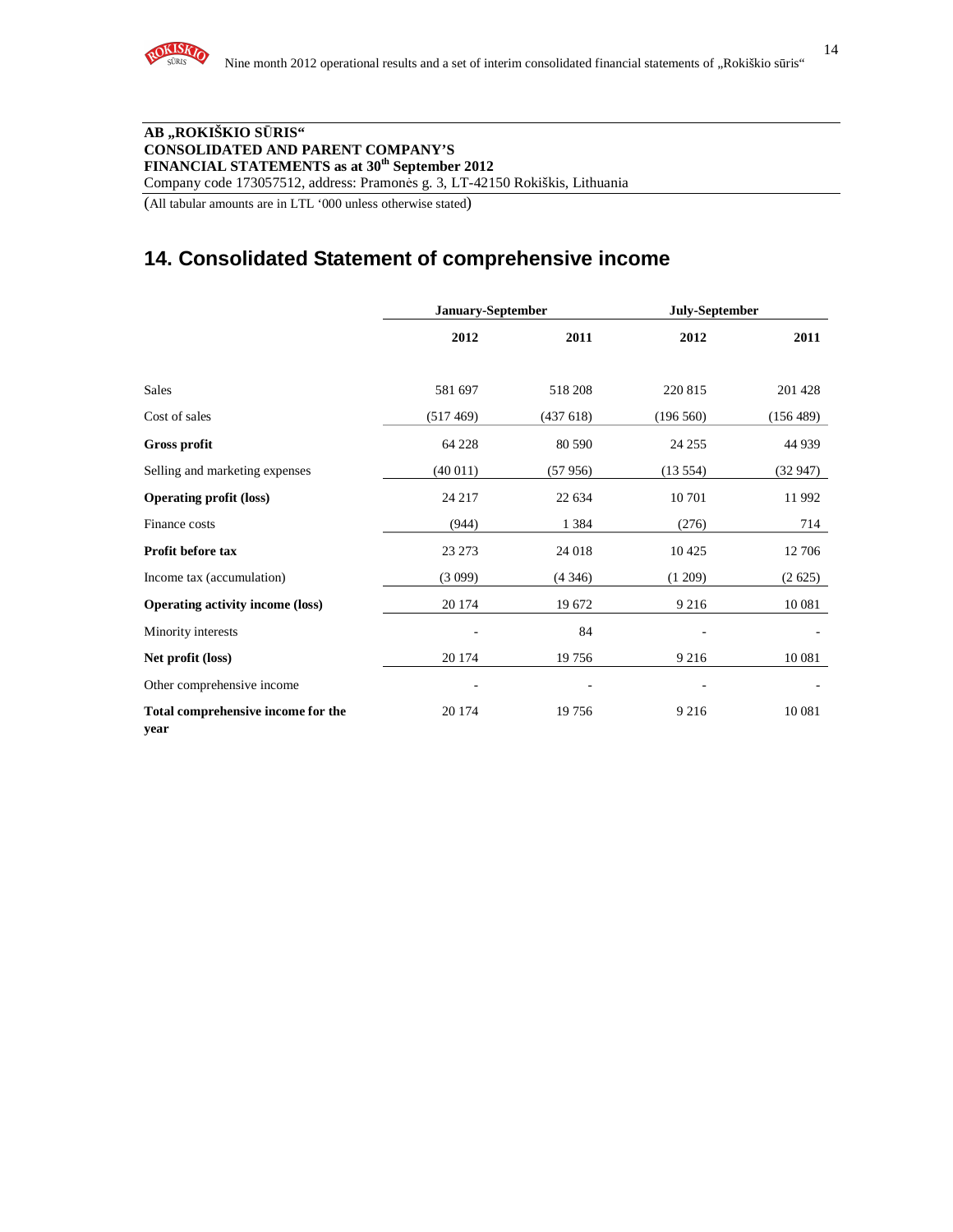

#### **AB "ROKIŠKIO S**Ū**RIS" CONSOLIDATED AND PARENT COMPANY'S FINANCIAL STATEMENTS as at 30th September 2012**

Company code 173057512, address: Pramonės g. 3, LT-42150 Rokiškis, Lithuania

(All tabular amounts are in LTL '000 unless otherwise stated)

## **14. Consolidated Statement of comprehensive income**

|                                            | January-September |                          | July-September |           |
|--------------------------------------------|-------------------|--------------------------|----------------|-----------|
|                                            | 2012              | 2011                     | 2012           | 2011      |
| <b>Sales</b>                               | 581 697           | 518 208                  | 220 815        | 201 428   |
| Cost of sales                              | (517469)          | (437618)                 | (196 560)      | (156 489) |
| <b>Gross profit</b>                        | 64 228            | 80 590                   | 24 25 5        | 44 9 39   |
| Selling and marketing expenses             | (40011)           | (57956)                  | (13554)        | (32947)   |
| <b>Operating profit (loss)</b>             | 24 217            | 22 634                   | 10 701         | 11992     |
| Finance costs                              | (944)             | 1 3 8 4                  | (276)          | 714       |
| Profit before tax                          | 23 27 3           | 24 018                   | 10 4 25        | 12 706    |
| Income tax (accumulation)                  | (3099)            | $(4\,346)$               | (1 209)        | (2625)    |
| <b>Operating activity income (loss)</b>    | 20 174            | 19 672                   | 9 2 1 6        | 10 081    |
| Minority interests                         |                   | 84                       |                |           |
| Net profit (loss)                          | 20 174            | 19756                    | 9 2 1 6        | 10 081    |
| Other comprehensive income                 |                   | $\overline{\phantom{a}}$ |                |           |
| Total comprehensive income for the<br>year | 20 174            | 19756                    | 9 2 1 6        | 10 081    |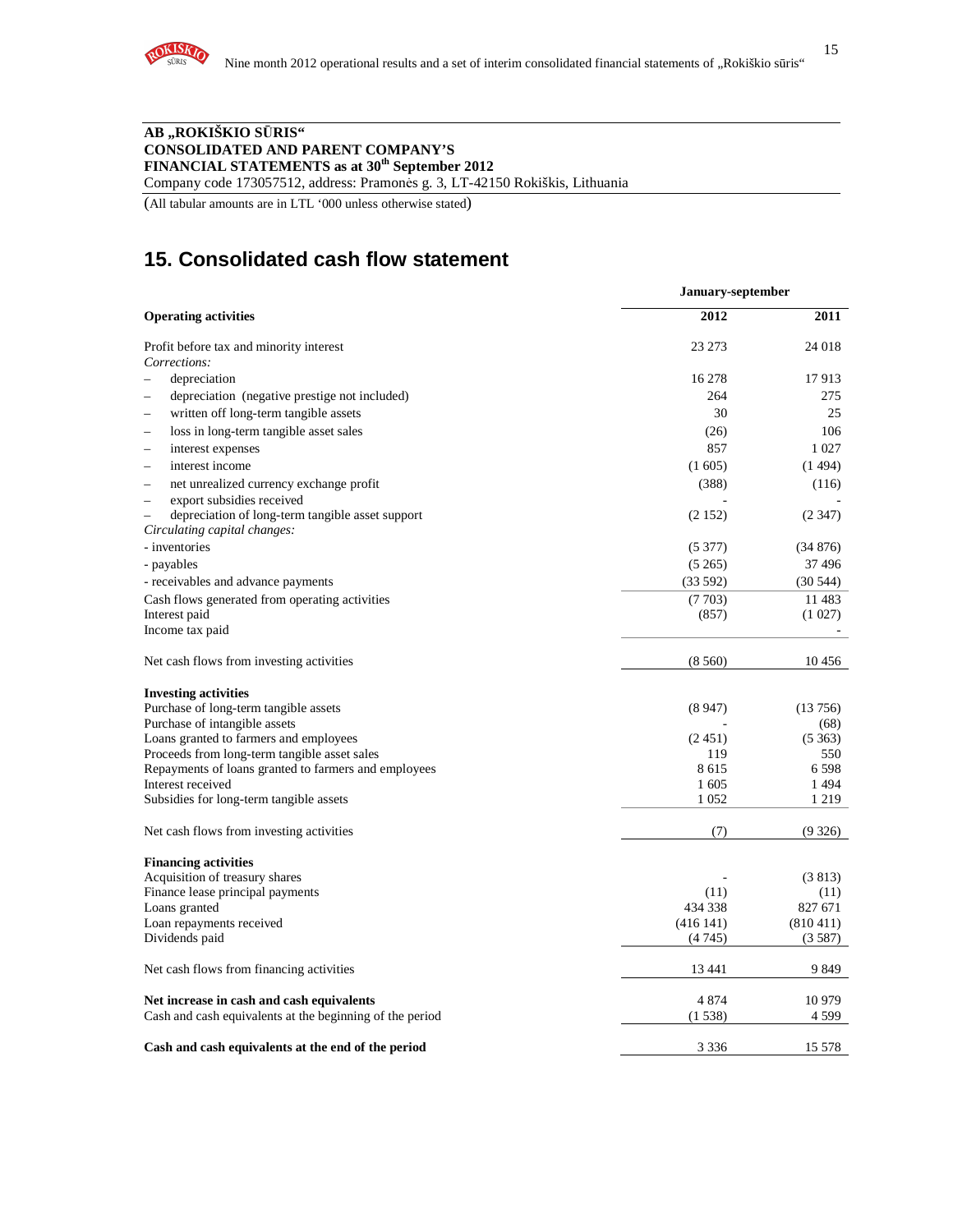

#### **AB "ROKIŠKIO S**Ū**RIS" CONSOLIDATED AND PARENT COMPANY'S FINANCIAL STATEMENTS as at 30th September 2012**

Company code 173057512, address: Pramonės g. 3, LT-42150 Rokiškis, Lithuania

(All tabular amounts are in LTL '000 unless otherwise stated)

# **15. Consolidated cash flow statement**

|                                                                                              | January-september |               |  |  |
|----------------------------------------------------------------------------------------------|-------------------|---------------|--|--|
| <b>Operating activities</b>                                                                  | 2012              | 2011          |  |  |
| Profit before tax and minority interest                                                      | 23 273            | 24 018        |  |  |
| Corrections:                                                                                 |                   |               |  |  |
| depreciation                                                                                 | 16 278            | 17913         |  |  |
| depreciation (negative prestige not included)                                                | 264               | 275           |  |  |
| written off long-term tangible assets                                                        | 30                | 25            |  |  |
| loss in long-term tangible asset sales                                                       | (26)              | 106           |  |  |
| interest expenses                                                                            | 857               | 1 0 27        |  |  |
| interest income<br>$\equiv$                                                                  | (1605)            | (1494)        |  |  |
| net unrealized currency exchange profit<br>$\overline{\phantom{0}}$                          | (388)             | (116)         |  |  |
| export subsidies received                                                                    |                   |               |  |  |
| depreciation of long-term tangible asset support<br>$\equiv$<br>Circulating capital changes: | (2152)            | (2347)        |  |  |
| - inventories                                                                                | (5377)            | (34876)       |  |  |
| - payables                                                                                   | (5265)            | 37496         |  |  |
| - receivables and advance payments                                                           | (33592)           | (30544)       |  |  |
| Cash flows generated from operating activities                                               | (7703)            | 11 483        |  |  |
| Interest paid                                                                                | (857)             | (1027)        |  |  |
| Income tax paid                                                                              |                   |               |  |  |
| Net cash flows from investing activities                                                     | (8560)            | 10456         |  |  |
| <b>Investing activities</b>                                                                  |                   |               |  |  |
| Purchase of long-term tangible assets                                                        | (8947)            | (13756)       |  |  |
| Purchase of intangible assets                                                                |                   | (68)          |  |  |
| Loans granted to farmers and employees<br>Proceeds from long-term tangible asset sales       | (2451)<br>119     | (5363)<br>550 |  |  |
| Repayments of loans granted to farmers and employees                                         | 8615              | 6598          |  |  |
| Interest received                                                                            | 1 605             | 1494          |  |  |
| Subsidies for long-term tangible assets                                                      | 1 0 5 2           | 1 2 1 9       |  |  |
|                                                                                              |                   |               |  |  |
| Net cash flows from investing activities                                                     | (7)               | (9326)        |  |  |
| <b>Financing activities</b>                                                                  |                   |               |  |  |
| Acquisition of treasury shares                                                               |                   | (3813)        |  |  |
| Finance lease principal payments                                                             | (11)              | (11)          |  |  |
| Loans granted                                                                                | 434 338           | 827 671       |  |  |
| Loan repayments received                                                                     | (416141)          | (810411)      |  |  |
| Dividends paid                                                                               | (4745)            | (3587)        |  |  |
| Net cash flows from financing activities                                                     | 13 441            | 9849          |  |  |
| Net increase in cash and cash equivalents                                                    | 4 8 7 4           | 10 979        |  |  |
| Cash and cash equivalents at the beginning of the period                                     | (1538)            | 4 5 9 9       |  |  |
| Cash and cash equivalents at the end of the period                                           | 3 3 3 6           | 15 578        |  |  |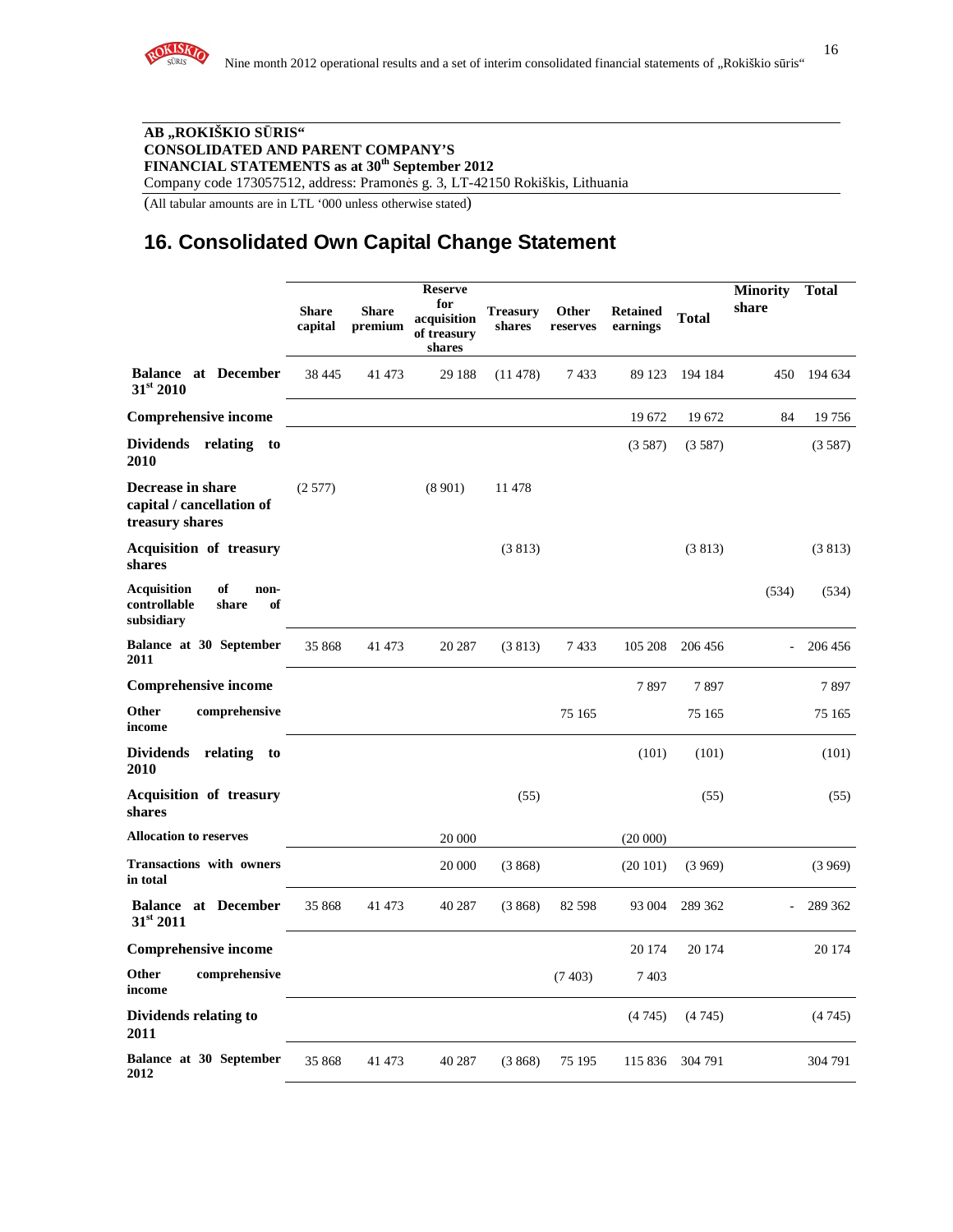

16

#### **AB "ROKIŠKIO S**Ū**RIS" CONSOLIDATED AND PARENT COMPANY'S FINANCIAL STATEMENTS as at 30th September 2012**

Company code 173057512, address: Pramonės g. 3, LT-42150 Rokiškis, Lithuania

(All tabular amounts are in LTL '000 unless otherwise stated)

## **16. Consolidated Own Capital Change Statement**

|                                                                               | <b>Share</b><br>capital | <b>Share</b><br>premium | <b>Reserve</b><br>for<br>acquisition<br>of treasury<br>shares | <b>Treasury</b><br>shares | <b>Other</b><br>reserves | <b>Retained</b><br>earnings | <b>Total</b> | <b>Minority</b><br>share | <b>Total</b> |
|-------------------------------------------------------------------------------|-------------------------|-------------------------|---------------------------------------------------------------|---------------------------|--------------------------|-----------------------------|--------------|--------------------------|--------------|
| <b>Balance at December</b><br>31st 2010                                       | 38 4 45                 | 41 473                  | 29 188                                                        | (11478)                   | 7433                     | 89 123                      | 194 184      | 450                      | 194 634      |
| <b>Comprehensive income</b>                                                   |                         |                         |                                                               |                           |                          | 19672                       | 19672        | 84                       | 19756        |
| Dividends relating<br>to<br>2010                                              |                         |                         |                                                               |                           |                          | (3587)                      | (3587)       |                          | (3587)       |
| Decrease in share<br>capital / cancellation of<br>treasury shares             | (2577)                  |                         | (8901)                                                        | 11 478                    |                          |                             |              |                          |              |
| <b>Acquisition of treasury</b><br>shares                                      |                         |                         |                                                               | (3813)                    |                          |                             | (3813)       |                          | (3813)       |
| <b>Acquisition</b><br>of<br>non-<br>controllable<br>share<br>of<br>subsidiary |                         |                         |                                                               |                           |                          |                             |              | (534)                    | (534)        |
| Balance at 30 September<br>2011                                               | 35 868                  | 41 473                  | 20 287                                                        | (3813)                    | 7433                     | 105 208                     | 206 456      |                          | 206 456      |
| <b>Comprehensive income</b>                                                   |                         |                         |                                                               |                           |                          | 7897                        | 7897         |                          | 7897         |
| Other<br>comprehensive<br>income                                              |                         |                         |                                                               |                           | 75 165                   |                             | 75 165       |                          | 75 165       |
| Dividends relating<br>- to<br>2010                                            |                         |                         |                                                               |                           |                          | (101)                       | (101)        |                          | (101)        |
| <b>Acquisition of treasury</b><br>shares                                      |                         |                         |                                                               | (55)                      |                          |                             | (55)         |                          | (55)         |
| <b>Allocation to reserves</b>                                                 |                         |                         | 20 000                                                        |                           |                          | (20000)                     |              |                          |              |
| <b>Transactions with owners</b><br>in total                                   |                         |                         | 20 000                                                        | (3868)                    |                          | (20101)                     | (3969)       |                          | (3969)       |
| <b>Balance at December</b><br>$31^{st}$ 2011                                  | 35 868                  | 41 473                  | 40 287                                                        | (3868)                    | 82 598                   | 93 004                      | 289 362      |                          | 289 362      |
| <b>Comprehensive income</b>                                                   |                         |                         |                                                               |                           |                          | 20 174                      | 20 174       |                          | 20 174       |
| Other<br>comprehensive<br>income                                              |                         |                         |                                                               |                           | (7403)                   | 7403                        |              |                          |              |
| Dividends relating to<br>2011                                                 |                         |                         |                                                               |                           |                          | (4745)                      | (4745)       |                          | (4745)       |
| Balance at 30 September<br>2012                                               | 35 868                  | 41 473                  | 40 287                                                        | (3868)                    | 75 195                   | 115 836                     | 304 791      |                          | 304 791      |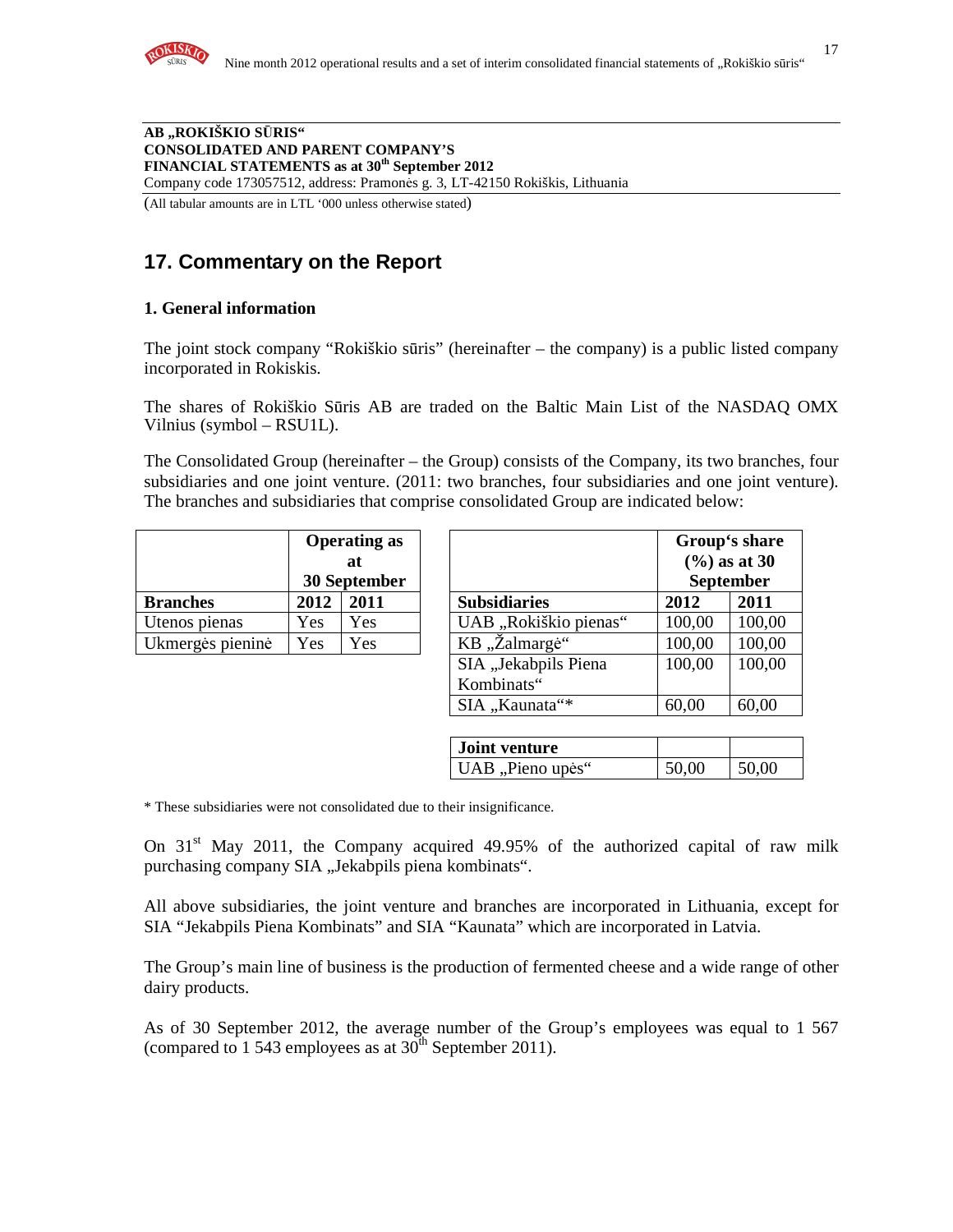

Company code 173057512, address: Pramonės g. 3, LT-42150 Rokiškis, Lithuania

(All tabular amounts are in LTL '000 unless otherwise stated)

# **17. Commentary on the Report**

#### **1. General information**

The joint stock company "Rokiškio sūris" (hereinafter – the company) is a public listed company incorporated in Rokiskis.

The shares of Rokiškio Sūris AB are traded on the Baltic Main List of the NASDAQ OMX Vilnius (symbol – RSU1L).

The Consolidated Group (hereinafter – the Group) consists of the Company, its two branches, four subsidiaries and one joint venture. (2011: two branches, four subsidiaries and one joint venture). The branches and subsidiaries that comprise consolidated Group are indicated below:

|                  | <b>Operating as</b> |     |  |
|------------------|---------------------|-----|--|
|                  | at.                 |     |  |
|                  | 30 September        |     |  |
| <b>Branches</b>  | 2012<br>2011        |     |  |
| Utenos pienas    | Yes                 | Yes |  |
| Ukmergės pieninė | Yes<br>Yes          |     |  |

|                  | <b>Operating as</b><br>at<br>30 September |      |  | Group's share<br>$(%)$ as at 30<br><b>September</b> |        |        |
|------------------|-------------------------------------------|------|--|-----------------------------------------------------|--------|--------|
| <b>Branches</b>  | 2012                                      | 2011 |  | <b>Subsidiaries</b>                                 | 2012   | 2011   |
| Utenos pienas    | Yes                                       | Yes  |  | UAB "Rokiškio pienas"                               | 100,00 | 100,00 |
| Ukmergės pieninė | Yes                                       | Yes  |  | KB "Żalmargė"                                       | 100,00 | 100,00 |
|                  |                                           |      |  | SIA "Jekabpils Piena                                | 100,00 | 100,00 |
|                  |                                           |      |  | Kombinats"                                          |        |        |
|                  |                                           |      |  | SIA "Kaunata"*                                      | 60,00  | 60,00  |

| <b>Joint venture</b> |       |       |
|----------------------|-------|-------|
| UAB, Pieno upės"     | 50,00 | 50,00 |

\* These subsidiaries were not consolidated due to their insignificance.

On  $31<sup>st</sup>$  May 2011, the Company acquired 49.95% of the authorized capital of raw milk purchasing company SIA "Jekabpils piena kombinats".

All above subsidiaries, the joint venture and branches are incorporated in Lithuania, except for SIA "Jekabpils Piena Kombinats" and SIA "Kaunata" which are incorporated in Latvia.

The Group's main line of business is the production of fermented cheese and a wide range of other dairy products.

As of 30 September 2012, the average number of the Group's employees was equal to 1 567 (compared to 1 543 employees as at  $30<sup>th</sup>$  September 2011).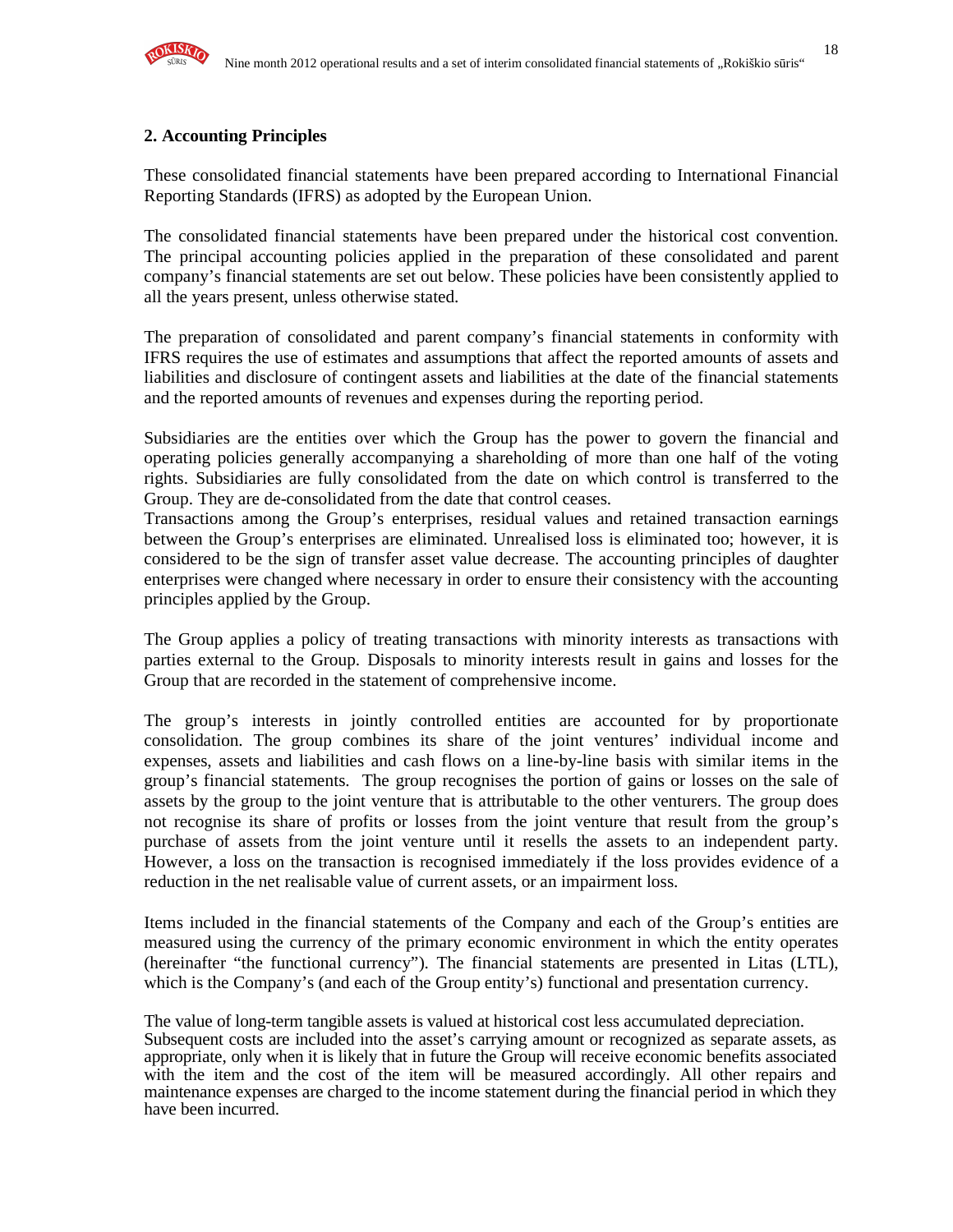

#### **2. Accounting Principles**

These consolidated financial statements have been prepared according to International Financial Reporting Standards (IFRS) as adopted by the European Union.

The consolidated financial statements have been prepared under the historical cost convention. The principal accounting policies applied in the preparation of these consolidated and parent company's financial statements are set out below. These policies have been consistently applied to all the years present, unless otherwise stated.

The preparation of consolidated and parent company's financial statements in conformity with IFRS requires the use of estimates and assumptions that affect the reported amounts of assets and liabilities and disclosure of contingent assets and liabilities at the date of the financial statements and the reported amounts of revenues and expenses during the reporting period.

Subsidiaries are the entities over which the Group has the power to govern the financial and operating policies generally accompanying a shareholding of more than one half of the voting rights. Subsidiaries are fully consolidated from the date on which control is transferred to the Group. They are de-consolidated from the date that control ceases.

Transactions among the Group's enterprises, residual values and retained transaction earnings between the Group's enterprises are eliminated. Unrealised loss is eliminated too; however, it is considered to be the sign of transfer asset value decrease. The accounting principles of daughter enterprises were changed where necessary in order to ensure their consistency with the accounting principles applied by the Group.

The Group applies a policy of treating transactions with minority interests as transactions with parties external to the Group. Disposals to minority interests result in gains and losses for the Group that are recorded in the statement of comprehensive income.

The group's interests in jointly controlled entities are accounted for by proportionate consolidation. The group combines its share of the joint ventures' individual income and expenses, assets and liabilities and cash flows on a line-by-line basis with similar items in the group's financial statements. The group recognises the portion of gains or losses on the sale of assets by the group to the joint venture that is attributable to the other venturers. The group does not recognise its share of profits or losses from the joint venture that result from the group's purchase of assets from the joint venture until it resells the assets to an independent party. However, a loss on the transaction is recognised immediately if the loss provides evidence of a reduction in the net realisable value of current assets, or an impairment loss.

Items included in the financial statements of the Company and each of the Group's entities are measured using the currency of the primary economic environment in which the entity operates (hereinafter "the functional currency"). The financial statements are presented in Litas (LTL), which is the Company's (and each of the Group entity's) functional and presentation currency.

The value of long-term tangible assets is valued at historical cost less accumulated depreciation. Subsequent costs are included into the asset's carrying amount or recognized as separate assets, as appropriate, only when it is likely that in future the Group will receive economic benefits associated with the item and the cost of the item will be measured accordingly. All other repairs and maintenance expenses are charged to the income statement during the financial period in which they have been incurred.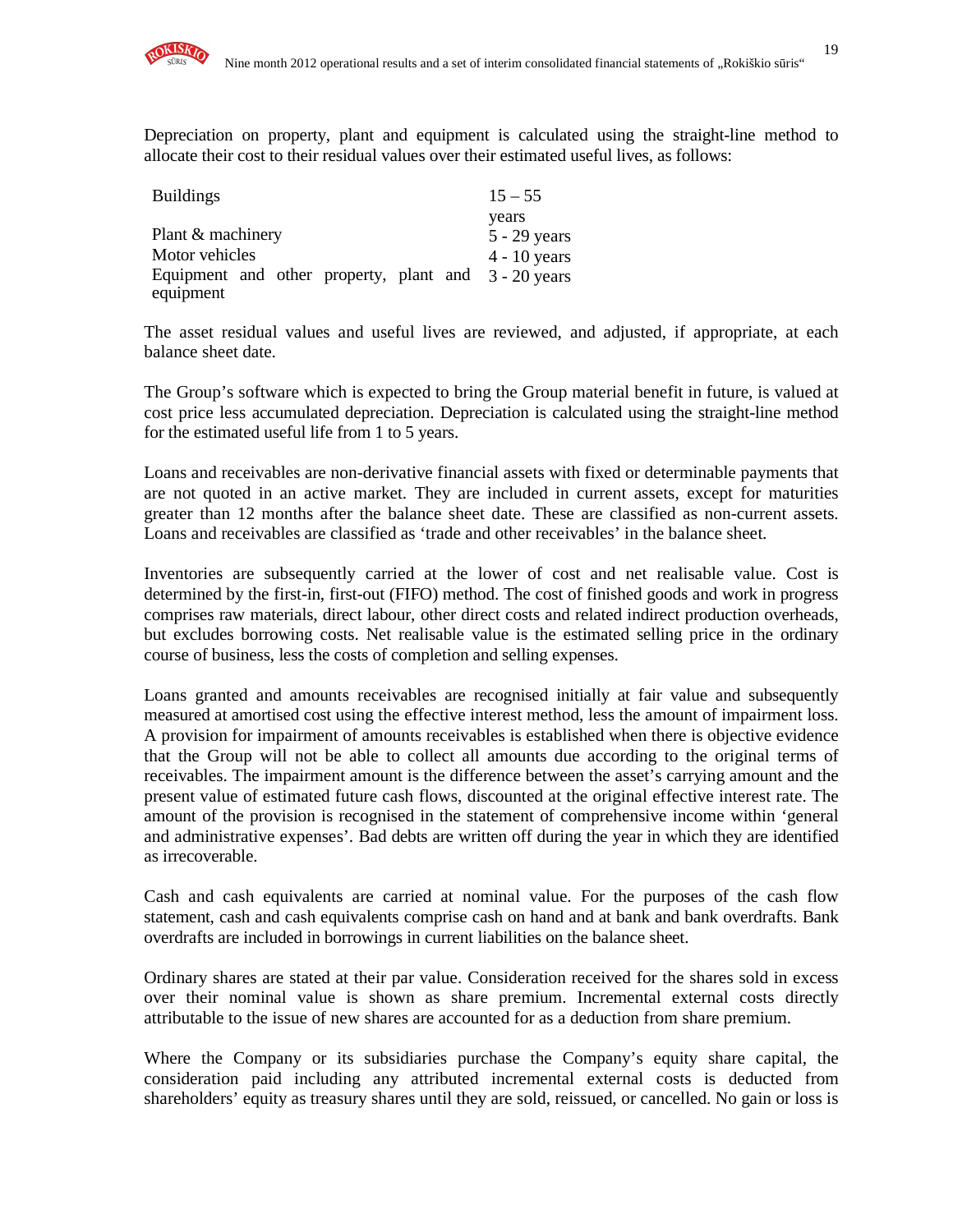Depreciation on property, plant and equipment is calculated using the straight-line method to allocate their cost to their residual values over their estimated useful lives, as follows:

| <b>Buildings</b>                                     | $15 - 55$      |
|------------------------------------------------------|----------------|
|                                                      | years          |
| Plant & machinery                                    | $5 - 29$ years |
| Motor vehicles                                       | $4 - 10$ years |
| Equipment and other property, plant and 3 - 20 years |                |
| equipment                                            |                |

The asset residual values and useful lives are reviewed, and adjusted, if appropriate, at each balance sheet date.

The Group's software which is expected to bring the Group material benefit in future, is valued at cost price less accumulated depreciation. Depreciation is calculated using the straight-line method for the estimated useful life from 1 to 5 years.

Loans and receivables are non-derivative financial assets with fixed or determinable payments that are not quoted in an active market. They are included in current assets, except for maturities greater than 12 months after the balance sheet date. These are classified as non-current assets. Loans and receivables are classified as 'trade and other receivables' in the balance sheet.

Inventories are subsequently carried at the lower of cost and net realisable value. Cost is determined by the first-in, first-out (FIFO) method. The cost of finished goods and work in progress comprises raw materials, direct labour, other direct costs and related indirect production overheads, but excludes borrowing costs. Net realisable value is the estimated selling price in the ordinary course of business, less the costs of completion and selling expenses.

Loans granted and amounts receivables are recognised initially at fair value and subsequently measured at amortised cost using the effective interest method, less the amount of impairment loss. A provision for impairment of amounts receivables is established when there is objective evidence that the Group will not be able to collect all amounts due according to the original terms of receivables. The impairment amount is the difference between the asset's carrying amount and the present value of estimated future cash flows, discounted at the original effective interest rate. The amount of the provision is recognised in the statement of comprehensive income within 'general and administrative expenses'. Bad debts are written off during the year in which they are identified as irrecoverable.

Cash and cash equivalents are carried at nominal value. For the purposes of the cash flow statement, cash and cash equivalents comprise cash on hand and at bank and bank overdrafts. Bank overdrafts are included in borrowings in current liabilities on the balance sheet.

Ordinary shares are stated at their par value. Consideration received for the shares sold in excess over their nominal value is shown as share premium. Incremental external costs directly attributable to the issue of new shares are accounted for as a deduction from share premium.

Where the Company or its subsidiaries purchase the Company's equity share capital, the consideration paid including any attributed incremental external costs is deducted from shareholders' equity as treasury shares until they are sold, reissued, or cancelled. No gain or loss is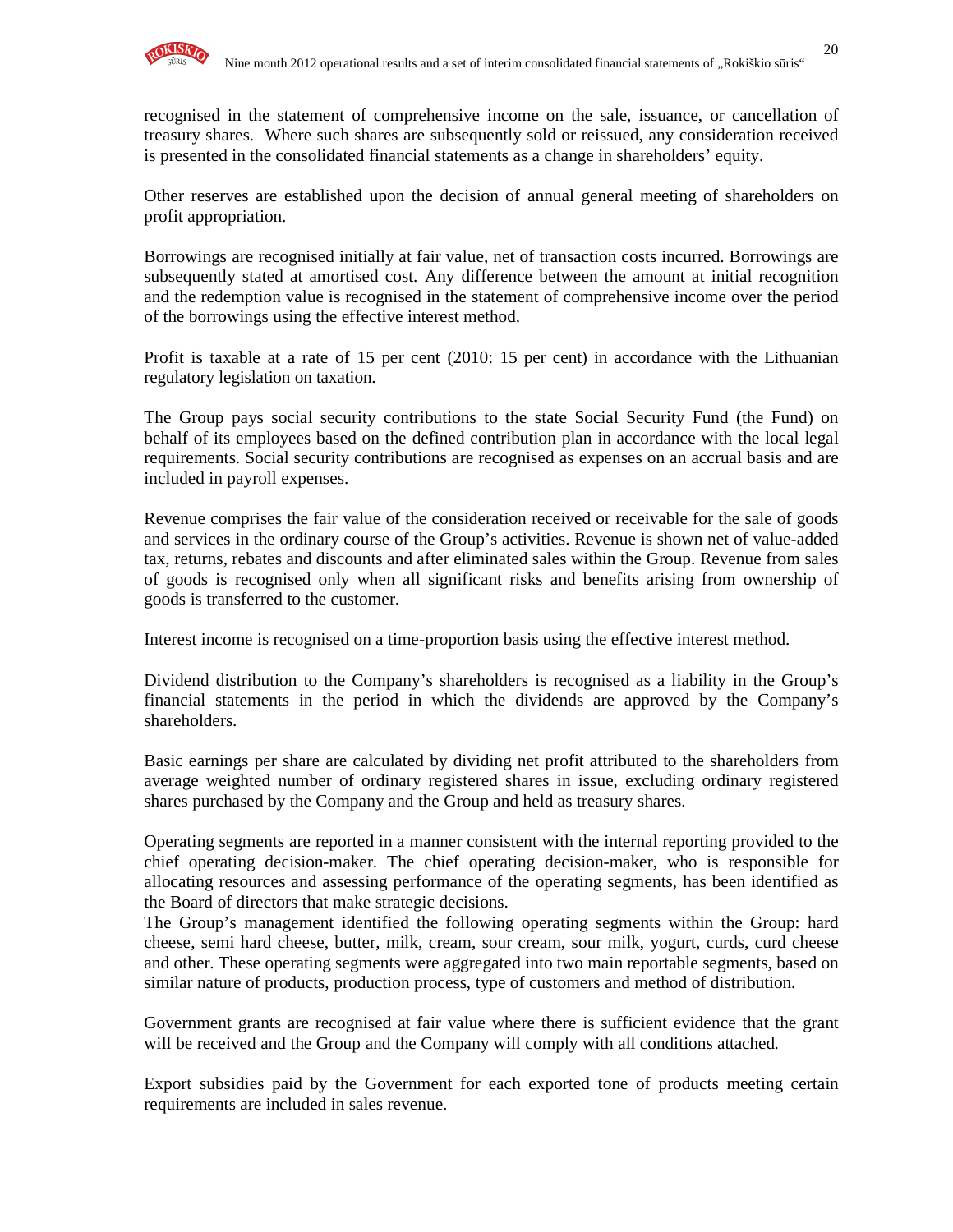

recognised in the statement of comprehensive income on the sale, issuance, or cancellation of treasury shares. Where such shares are subsequently sold or reissued, any consideration received is presented in the consolidated financial statements as a change in shareholders' equity.

Other reserves are established upon the decision of annual general meeting of shareholders on profit appropriation.

Borrowings are recognised initially at fair value, net of transaction costs incurred. Borrowings are subsequently stated at amortised cost. Any difference between the amount at initial recognition and the redemption value is recognised in the statement of comprehensive income over the period of the borrowings using the effective interest method.

Profit is taxable at a rate of 15 per cent (2010: 15 per cent) in accordance with the Lithuanian regulatory legislation on taxation.

The Group pays social security contributions to the state Social Security Fund (the Fund) on behalf of its employees based on the defined contribution plan in accordance with the local legal requirements. Social security contributions are recognised as expenses on an accrual basis and are included in payroll expenses.

Revenue comprises the fair value of the consideration received or receivable for the sale of goods and services in the ordinary course of the Group's activities. Revenue is shown net of value-added tax, returns, rebates and discounts and after eliminated sales within the Group. Revenue from sales of goods is recognised only when all significant risks and benefits arising from ownership of goods is transferred to the customer.

Interest income is recognised on a time-proportion basis using the effective interest method.

Dividend distribution to the Company's shareholders is recognised as a liability in the Group's financial statements in the period in which the dividends are approved by the Company's shareholders.

Basic earnings per share are calculated by dividing net profit attributed to the shareholders from average weighted number of ordinary registered shares in issue, excluding ordinary registered shares purchased by the Company and the Group and held as treasury shares.

Operating segments are reported in a manner consistent with the internal reporting provided to the chief operating decision-maker. The chief operating decision-maker, who is responsible for allocating resources and assessing performance of the operating segments, has been identified as the Board of directors that make strategic decisions.

The Group's management identified the following operating segments within the Group: hard cheese, semi hard cheese, butter, milk, cream, sour cream, sour milk, yogurt, curds, curd cheese and other. These operating segments were aggregated into two main reportable segments, based on similar nature of products, production process, type of customers and method of distribution.

Government grants are recognised at fair value where there is sufficient evidence that the grant will be received and the Group and the Company will comply with all conditions attached.

Export subsidies paid by the Government for each exported tone of products meeting certain requirements are included in sales revenue.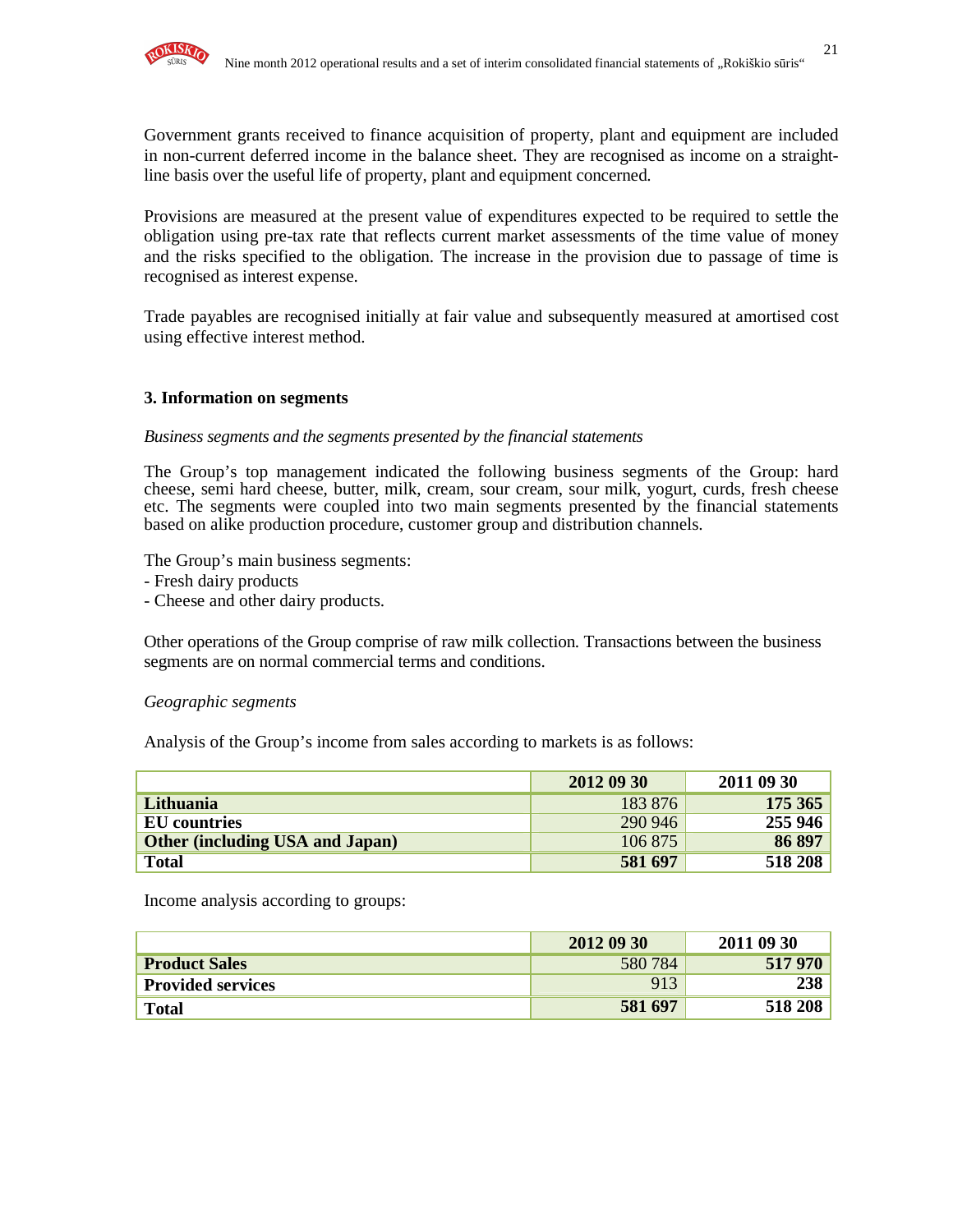Government grants received to finance acquisition of property, plant and equipment are included in non-current deferred income in the balance sheet. They are recognised as income on a straightline basis over the useful life of property, plant and equipment concerned.

Provisions are measured at the present value of expenditures expected to be required to settle the obligation using pre-tax rate that reflects current market assessments of the time value of money and the risks specified to the obligation. The increase in the provision due to passage of time is recognised as interest expense.

Trade payables are recognised initially at fair value and subsequently measured at amortised cost using effective interest method.

#### **3. Information on segments**

#### *Business segments and the segments presented by the financial statements*

The Group's top management indicated the following business segments of the Group: hard cheese, semi hard cheese, butter, milk, cream, sour cream, sour milk, yogurt, curds, fresh cheese etc. The segments were coupled into two main segments presented by the financial statements based on alike production procedure, customer group and distribution channels.

The Group's main business segments:

- Fresh dairy products

- Cheese and other dairy products.

Other operations of the Group comprise of raw milk collection. Transactions between the business segments are on normal commercial terms and conditions.

#### *Geographic segments*

Analysis of the Group's income from sales according to markets is as follows:

|                                        | 2012 09 30 | 2011 09 30 |
|----------------------------------------|------------|------------|
| Lithuania                              | 183 876    | 175 365    |
| EU countries                           | 290 946    | 255 946    |
| <b>Other (including USA and Japan)</b> | 106 875    | 86 897     |
| <b>Total</b>                           | 581 697    | 518 208    |

Income analysis according to groups:

|                          | 2012 09 30 | 2011 09 30 |
|--------------------------|------------|------------|
| <b>Product Sales</b>     | 580784     | 517970     |
| <b>Provided services</b> | 913        |            |
| <b>Total</b>             | 581 697    | 518 208    |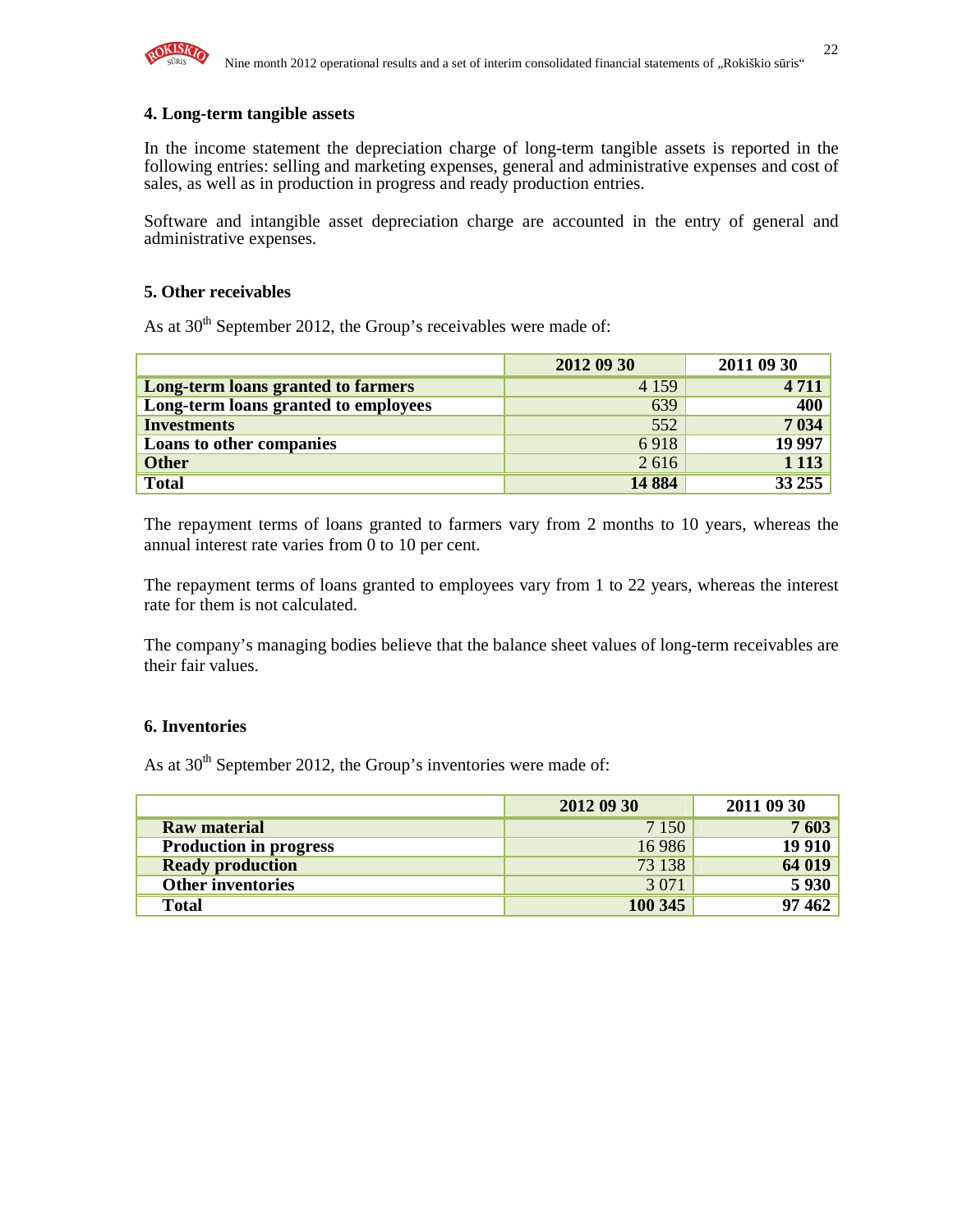

#### **4. Long-term tangible assets**

In the income statement the depreciation charge of long-term tangible assets is reported in the following entries: selling and marketing expenses, general and administrative expenses and cost of sales, as well as in production in progress and ready production entries.

Software and intangible asset depreciation charge are accounted in the entry of general and administrative expenses.

#### **5. Other receivables**

As at  $30<sup>th</sup>$  September 2012, the Group's receivables were made of:

|                                      | 2012 09 30 | 2011 09 30 |
|--------------------------------------|------------|------------|
| Long-term loans granted to farmers   | 4 1 5 9    | 4 7 1 1    |
| Long-term loans granted to employees | 639        | 400        |
| <b>Investments</b>                   | 552        | 7 0 34     |
| <b>Loans to other companies</b>      | 6918       | 19 997     |
| <b>Other</b>                         | 2616       | 1 1 1 3    |
| <b>Total</b>                         | 14 8 84    | 33 255     |

The repayment terms of loans granted to farmers vary from 2 months to 10 years, whereas the annual interest rate varies from 0 to 10 per cent.

The repayment terms of loans granted to employees vary from 1 to 22 years, whereas the interest rate for them is not calculated.

The company's managing bodies believe that the balance sheet values of long-term receivables are their fair values.

#### **6. Inventories**

As at  $30<sup>th</sup>$  September 2012, the Group's inventories were made of:

|                               | 2012 09 30 | 2011 09 30    |
|-------------------------------|------------|---------------|
| <b>Raw material</b>           | 7 1 5 0    | 7603          |
| <b>Production in progress</b> | 16 9 86    | <b>19 910</b> |
| <b>Ready production</b>       | 73 138     | 64 019        |
| <b>Other inventories</b>      | 3 0 7 1    | 5 9 3 0       |
| <b>Total</b>                  | 100 345    | 97 462        |